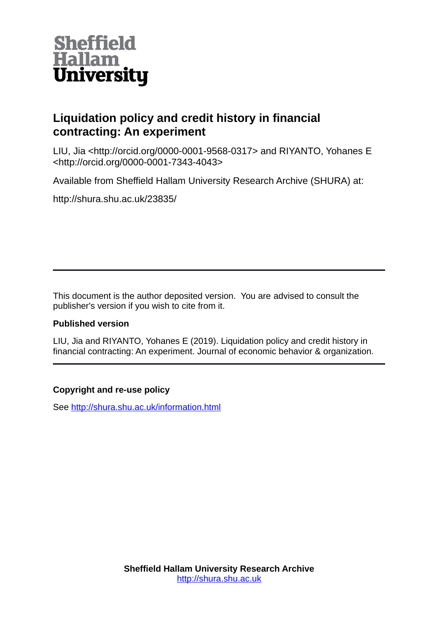

# **Liquidation policy and credit history in financial contracting: An experiment**

LIU, Jia <http://orcid.org/0000-0001-9568-0317> and RIYANTO, Yohanes E <http://orcid.org/0000-0001-7343-4043>

Available from Sheffield Hallam University Research Archive (SHURA) at:

http://shura.shu.ac.uk/23835/

This document is the author deposited version. You are advised to consult the publisher's version if you wish to cite from it.

# **Published version**

LIU, Jia and RIYANTO, Yohanes E (2019). Liquidation policy and credit history in financial contracting: An experiment. Journal of economic behavior & organization.

# **Copyright and re-use policy**

See<http://shura.shu.ac.uk/information.html>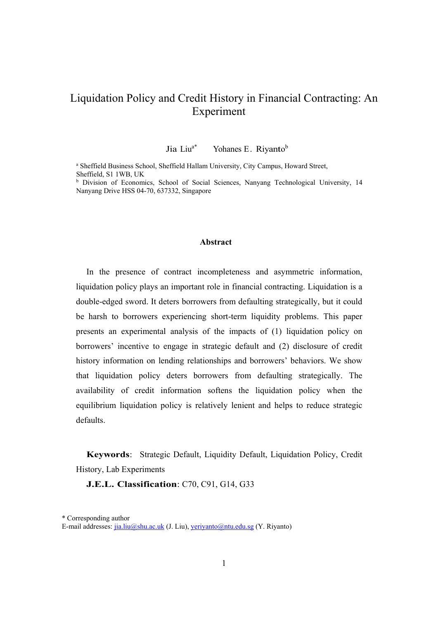# Liquidation Policy and Credit History in Financial Contracting: An Experiment

Jia Liu<sup>a\*</sup> Yohanes E. Riyanto<sup>b</sup>

<sup>a</sup> Sheffield Business School, Sheffield Hallam University, City Campus, Howard Street, Sheffield, S1 1WB, UK

<sup>b</sup> Division of Economics, School of Social Sciences, Nanyang Technological University, 14 Nanyang Drive HSS 04-70, 637332, Singapore

#### **Abstract**

In the presence of contract incompleteness and asymmetric information, liquidation policy plays an important role in financial contracting. Liquidation is a double-edged sword. It deters borrowers from defaulting strategically, but it could be harsh to borrowers experiencing short-term liquidity problems. This paper presents an experimental analysis of the impacts of (1) liquidation policy on borrowers' incentive to engage in strategic default and (2) disclosure of credit history information on lending relationships and borrowers' behaviors. We show that liquidation policy deters borrowers from defaulting strategically. The availability of credit information softens the liquidation policy when the equilibrium liquidation policy is relatively lenient and helps to reduce strategic defaults.

**Keywords**: Strategic Default, Liquidity Default, Liquidation Policy, Credit History, Lab Experiments

**J.E.L. Classification**: C70, C91, G14, G33

<sup>\*</sup> Corresponding author

E-mail addresses: *jia.liu@shu.ac.uk* (J. Liu), *yeriyanto@ntu.edu.sg* (Y. Riyanto)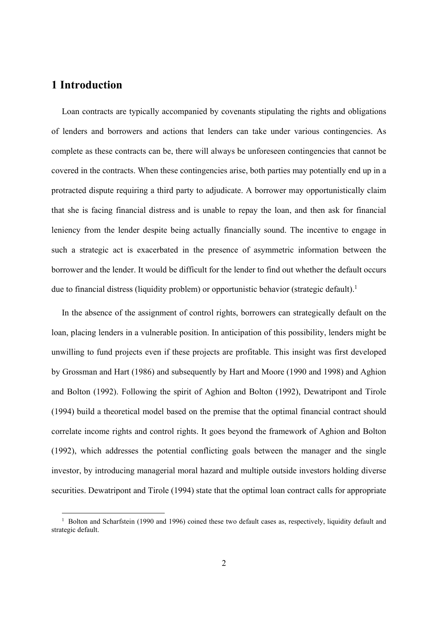# **1 Introduction**

1

Loan contracts are typically accompanied by covenants stipulating the rights and obligations of lenders and borrowers and actions that lenders can take under various contingencies. As complete as these contracts can be, there will always be unforeseen contingencies that cannot be covered in the contracts. When these contingencies arise, both parties may potentially end up in a protracted dispute requiring a third party to adjudicate. A borrower may opportunistically claim that she is facing financial distress and is unable to repay the loan, and then ask for financial leniency from the lender despite being actually financially sound. The incentive to engage in such a strategic act is exacerbated in the presence of asymmetric information between the borrower and the lender. It would be difficult for the lender to find out whether the default occurs due to financial distress (liquidity problem) or opportunistic behavior (strategic default).<sup>1</sup>

In the absence of the assignment of control rights, borrowers can strategically default on the loan, placing lenders in a vulnerable position. In anticipation of this possibility, lenders might be unwilling to fund projects even if these projects are profitable. This insight was first developed by Grossman and Hart (1986) and subsequently by Hart and Moore (1990 and 1998) and Aghion and Bolton (1992). Following the spirit of Aghion and Bolton (1992), Dewatripont and Tirole (1994) build a theoretical model based on the premise that the optimal financial contract should correlate income rights and control rights. It goes beyond the framework of Aghion and Bolton (1992), which addresses the potential conflicting goals between the manager and the single investor, by introducing managerial moral hazard and multiple outside investors holding diverse securities. Dewatripont and Tirole (1994) state that the optimal loan contract calls for appropriate

<sup>1</sup> Bolton and Scharfstein (1990 and 1996) coined these two default cases as, respectively, liquidity default and strategic default.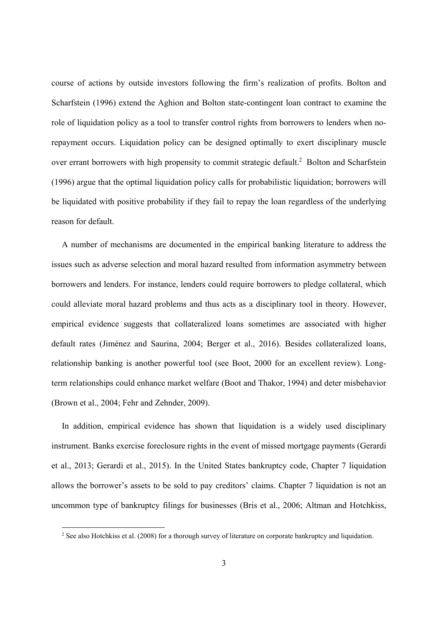course of actions by outside investors following the firm's realization of profits. Bolton and Scharfstein (1996) extend the Aghion and Bolton state-contingent loan contract to examine the role of liquidation policy as a tool to transfer control rights from borrowers to lenders when norepayment occurs. Liquidation policy can be designed optimally to exert disciplinary muscle over errant borrowers with high propensity to commit strategic default.<sup>2</sup> Bolton and Scharfstein (1996) argue that the optimal liquidation policy calls for probabilistic liquidation; borrowers will be liquidated with positive probability if they fail to repay the loan regardless of the underlying reason for default.

A number of mechanisms are documented in the empirical banking literature to address the issues such as adverse selection and moral hazard resulted from information asymmetry between borrowers and lenders. For instance, lenders could require borrowers to pledge collateral, which could alleviate moral hazard problems and thus acts as a disciplinary tool in theory. However, empirical evidence suggests that collateralized loans sometimes are associated with higher default rates (Jiménez and Saurina, 2004; Berger et al., 2016). Besides collateralized loans, relationship banking is another powerful tool (see Boot, 2000 for an excellent review). Longterm relationships could enhance market welfare (Boot and Thakor, 1994) and deter misbehavior (Brown et al., 2004; Fehr and Zehnder, 2009).

In addition, empirical evidence has shown that liquidation is a widely used disciplinary instrument. Banks exercise foreclosure rights in the event of missed mortgage payments (Gerardi et al., 2013; Gerardi et al., 2015). In the United States bankruptcy code, Chapter 7 liquidation allows the borrower's assets to be sold to pay creditors' claims. Chapter 7 liquidation is not an uncommon type of bankruptcy filings for businesses (Bris et al., 2006; Altman and Hotchkiss,

-

<sup>&</sup>lt;sup>2</sup> See also Hotchkiss et al. (2008) for a thorough survey of literature on corporate bankruptcy and liquidation.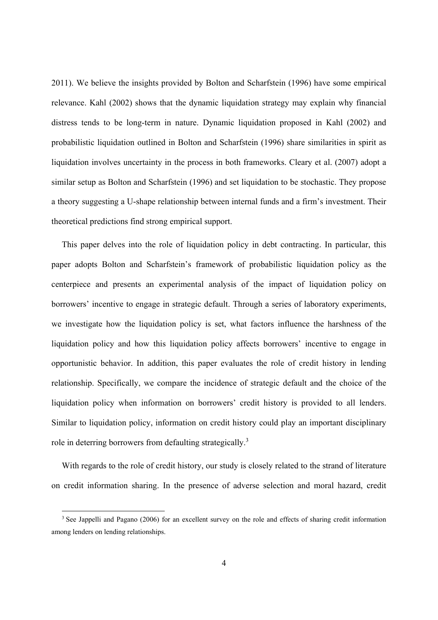2011). We believe the insights provided by Bolton and Scharfstein (1996) have some empirical relevance. Kahl (2002) shows that the dynamic liquidation strategy may explain why financial distress tends to be long-term in nature. Dynamic liquidation proposed in Kahl (2002) and probabilistic liquidation outlined in Bolton and Scharfstein (1996) share similarities in spirit as liquidation involves uncertainty in the process in both frameworks. Cleary et al. (2007) adopt a similar setup as Bolton and Scharfstein (1996) and set liquidation to be stochastic. They propose a theory suggesting a U-shape relationship between internal funds and a firm's investment. Their theoretical predictions find strong empirical support.

This paper delves into the role of liquidation policy in debt contracting. In particular, this paper adopts Bolton and Scharfstein's framework of probabilistic liquidation policy as the centerpiece and presents an experimental analysis of the impact of liquidation policy on borrowers' incentive to engage in strategic default. Through a series of laboratory experiments, we investigate how the liquidation policy is set, what factors influence the harshness of the liquidation policy and how this liquidation policy affects borrowers' incentive to engage in opportunistic behavior. In addition, this paper evaluates the role of credit history in lending relationship. Specifically, we compare the incidence of strategic default and the choice of the liquidation policy when information on borrowers' credit history is provided to all lenders. Similar to liquidation policy, information on credit history could play an important disciplinary role in deterring borrowers from defaulting strategically.<sup>3</sup>

With regards to the role of credit history, our study is closely related to the strand of literature on credit information sharing. In the presence of adverse selection and moral hazard, credit

-

<sup>&</sup>lt;sup>3</sup> See Jappelli and Pagano (2006) for an excellent survey on the role and effects of sharing credit information among lenders on lending relationships.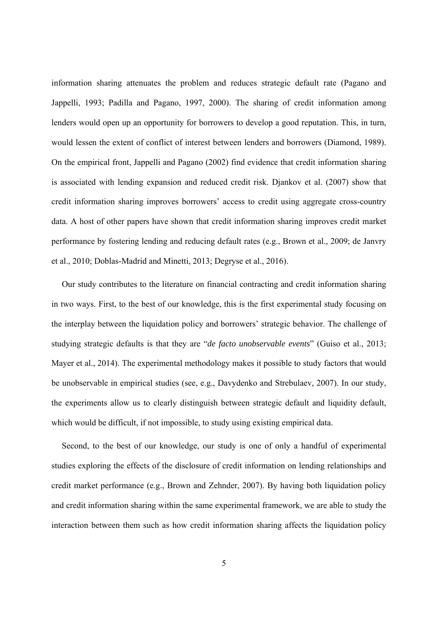information sharing attenuates the problem and reduces strategic default rate (Pagano and Jappelli, 1993; Padilla and Pagano, 1997, 2000). The sharing of credit information among lenders would open up an opportunity for borrowers to develop a good reputation. This, in turn, would lessen the extent of conflict of interest between lenders and borrowers (Diamond, 1989). On the empirical front, Jappelli and Pagano (2002) find evidence that credit information sharing is associated with lending expansion and reduced credit risk. Djankov et al. (2007) show that credit information sharing improves borrowers' access to credit using aggregate cross-country data. A host of other papers have shown that credit information sharing improves credit market performance by fostering lending and reducing default rates (e.g., Brown et al., 2009; de Janvry et al., 2010; Doblas-Madrid and Minetti, 2013; Degryse et al., 2016).

Our study contributes to the literature on financial contracting and credit information sharing in two ways. First, to the best of our knowledge, this is the first experimental study focusing on the interplay between the liquidation policy and borrowers' strategic behavior. The challenge of studying strategic defaults is that they are "*de facto unobservable events*" (Guiso et al., 2013; Mayer et al., 2014). The experimental methodology makes it possible to study factors that would be unobservable in empirical studies (see, e.g., Davydenko and Strebulaev, 2007). In our study, the experiments allow us to clearly distinguish between strategic default and liquidity default, which would be difficult, if not impossible, to study using existing empirical data.

Second, to the best of our knowledge, our study is one of only a handful of experimental studies exploring the effects of the disclosure of credit information on lending relationships and credit market performance (e.g., Brown and Zehnder, 2007). By having both liquidation policy and credit information sharing within the same experimental framework, we are able to study the interaction between them such as how credit information sharing affects the liquidation policy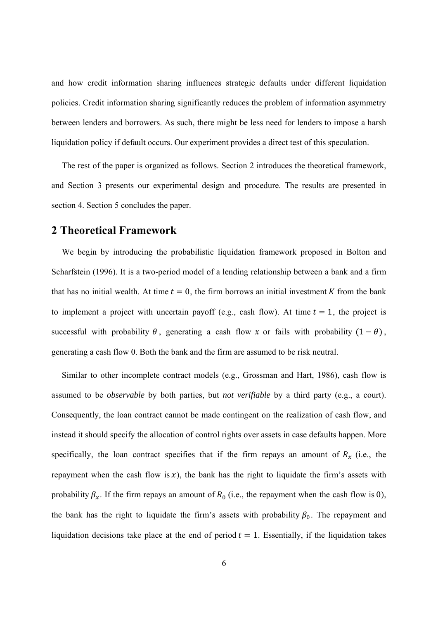and how credit information sharing influences strategic defaults under different liquidation policies. Credit information sharing significantly reduces the problem of information asymmetry between lenders and borrowers. As such, there might be less need for lenders to impose a harsh liquidation policy if default occurs. Our experiment provides a direct test of this speculation.

The rest of the paper is organized as follows. Section 2 introduces the theoretical framework, and Section 3 presents our experimental design and procedure. The results are presented in section 4. Section 5 concludes the paper.

# **2 Theoretical Framework**

We begin by introducing the probabilistic liquidation framework proposed in Bolton and Scharfstein (1996). It is a two-period model of a lending relationship between a bank and a firm that has no initial wealth. At time  $t = 0$ , the firm borrows an initial investment K from the bank to implement a project with uncertain payoff (e.g., cash flow). At time  $t = 1$ , the project is successful with probability  $\theta$ , generating a cash flow x or fails with probability  $(1 - \theta)$ , generating a cash flow 0. Both the bank and the firm are assumed to be risk neutral.

Similar to other incomplete contract models (e.g., Grossman and Hart, 1986), cash flow is assumed to be *observable* by both parties, but *not verifiable* by a third party (e.g., a court). Consequently, the loan contract cannot be made contingent on the realization of cash flow, and instead it should specify the allocation of control rights over assets in case defaults happen. More specifically, the loan contract specifies that if the firm repays an amount of  $R<sub>x</sub>$  (i.e., the repayment when the cash flow is  $x$ ), the bank has the right to liquidate the firm's assets with probability  $\beta_x$ . If the firm repays an amount of  $R_0$  (i.e., the repayment when the cash flow is 0), the bank has the right to liquidate the firm's assets with probability  $\beta_0$ . The repayment and liquidation decisions take place at the end of period  $t = 1$ . Essentially, if the liquidation takes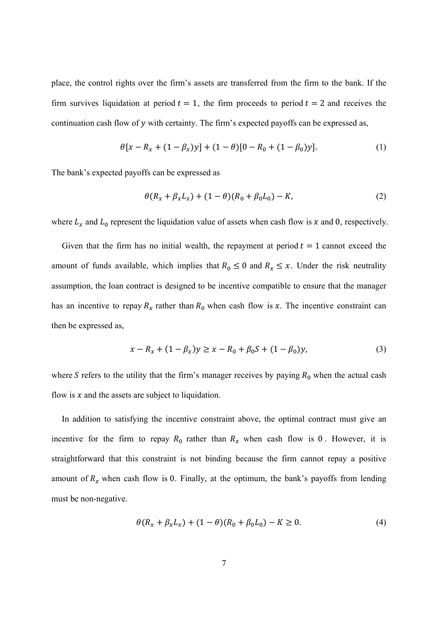place, the control rights over the firm's assets are transferred from the firm to the bank. If the firm survives liquidation at period  $t = 1$ , the firm proceeds to period  $t = 2$  and receives the continuation cash flow of  $y$  with certainty. The firm's expected payoffs can be expressed as,

$$
\theta[x - R_x + (1 - \beta_x)y] + (1 - \theta)[0 - R_0 + (1 - \beta_0)y].
$$
 (1)

The bank's expected payoffs can be expressed as

$$
\theta(R_x + \beta_x L_x) + (1 - \theta)(R_0 + \beta_0 L_0) - K,\tag{2}
$$

where  $L_x$  and  $L_0$  represent the liquidation value of assets when cash flow is x and 0, respectively.

Given that the firm has no initial wealth, the repayment at period  $t = 1$  cannot exceed the amount of funds available, which implies that  $R_0 \le 0$  and  $R_x \le x$ . Under the risk neutrality assumption, the loan contract is designed to be incentive compatible to ensure that the manager has an incentive to repay  $R_x$  rather than  $R_0$  when cash flow is x. The incentive constraint can then be expressed as,

$$
x - R_x + (1 - \beta_x)y \ge x - R_0 + \beta_0 S + (1 - \beta_0)y,\tag{3}
$$

where S refers to the utility that the firm's manager receives by paying  $R_0$  when the actual cash flow is  $x$  and the assets are subject to liquidation.

In addition to satisfying the incentive constraint above, the optimal contract must give an incentive for the firm to repay  $R_0$  rather than  $R_x$  when cash flow is 0. However, it is straightforward that this constraint is not binding because the firm cannot repay a positive amount of  $R<sub>x</sub>$  when cash flow is 0. Finally, at the optimum, the bank's payoffs from lending must be non-negative.

$$
\theta(R_x + \beta_x L_x) + (1 - \theta)(R_0 + \beta_0 L_0) - K \ge 0.
$$
 (4)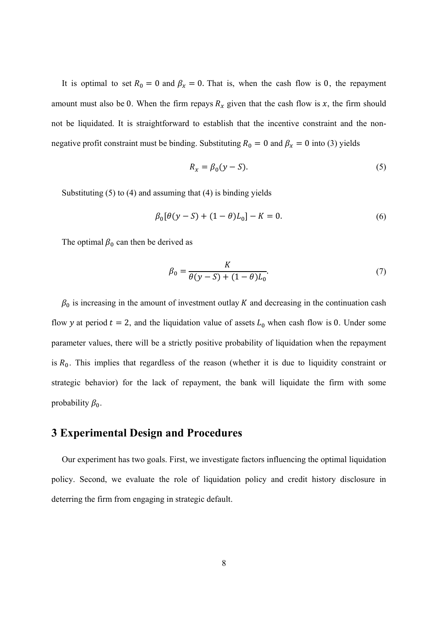It is optimal to set  $R_0 = 0$  and  $\beta_x = 0$ . That is, when the cash flow is 0, the repayment amount must also be 0. When the firm repays  $R_x$  given that the cash flow is x, the firm should not be liquidated. It is straightforward to establish that the incentive constraint and the nonnegative profit constraint must be binding. Substituting  $R_0 = 0$  and  $\beta_x = 0$  into (3) yields

$$
R_x = \beta_0 (y - S). \tag{5}
$$

Substituting  $(5)$  to  $(4)$  and assuming that  $(4)$  is binding yields

$$
\beta_0[\theta(y-S) + (1-\theta)L_0] - K = 0.
$$
 (6)

The optimal  $\beta_0$  can then be derived as

$$
\beta_0 = \frac{K}{\theta(y - S) + (1 - \theta)L_0}.\tag{7}
$$

 $\beta_0$  is increasing in the amount of investment outlay K and decreasing in the continuation cash flow y at period  $t = 2$ , and the liquidation value of assets  $L_0$  when cash flow is 0. Under some parameter values, there will be a strictly positive probability of liquidation when the repayment is  $R_0$ . This implies that regardless of the reason (whether it is due to liquidity constraint or strategic behavior) for the lack of repayment, the bank will liquidate the firm with some probability  $\beta_0$ .

## **3 Experimental Design and Procedures**

Our experiment has two goals. First, we investigate factors influencing the optimal liquidation policy. Second, we evaluate the role of liquidation policy and credit history disclosure in deterring the firm from engaging in strategic default.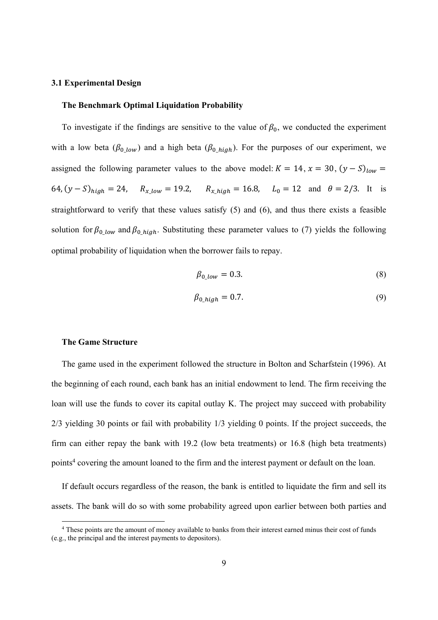#### **3.1 Experimental Design**

#### **The Benchmark Optimal Liquidation Probability**

To investigate if the findings are sensitive to the value of  $\beta_0$ , we conducted the experiment with a low beta ( $\beta_{0\_low}$ ) and a high beta ( $\beta_{0\_high}$ ). For the purposes of our experiment, we assigned the following parameter values to the above model:  $K = 14$ ,  $x = 30$ ,  $(y - S)_{low}$ 64,  $(y - S)_{high} = 24$ ,  $R_{x\_low} = 19.2$ ,  $R_{x\_high} = 16.8$ ,  $L_0 = 12$  and  $\theta = 2/3$ . It is straightforward to verify that these values satisfy (5) and (6), and thus there exists a feasible solution for  $\beta_{0 \, low}$  and  $\beta_{0 \, high}$ . Substituting these parameter values to (7) yields the following optimal probability of liquidation when the borrower fails to repay.

$$
\beta_{0\_low} = 0.3. \tag{8}
$$

$$
\beta_{0\_high} = 0.7. \tag{9}
$$

#### **The Game Structure**

 $\overline{a}$ 

The game used in the experiment followed the structure in Bolton and Scharfstein (1996). At the beginning of each round, each bank has an initial endowment to lend. The firm receiving the loan will use the funds to cover its capital outlay K. The project may succeed with probability 2/3 yielding 30 points or fail with probability 1/3 yielding 0 points. If the project succeeds, the firm can either repay the bank with 19.2 (low beta treatments) or 16.8 (high beta treatments) points<sup>4</sup> covering the amount loaned to the firm and the interest payment or default on the loan.

If default occurs regardless of the reason, the bank is entitled to liquidate the firm and sell its assets. The bank will do so with some probability agreed upon earlier between both parties and

<sup>4</sup> These points are the amount of money available to banks from their interest earned minus their cost of funds (e.g., the principal and the interest payments to depositors).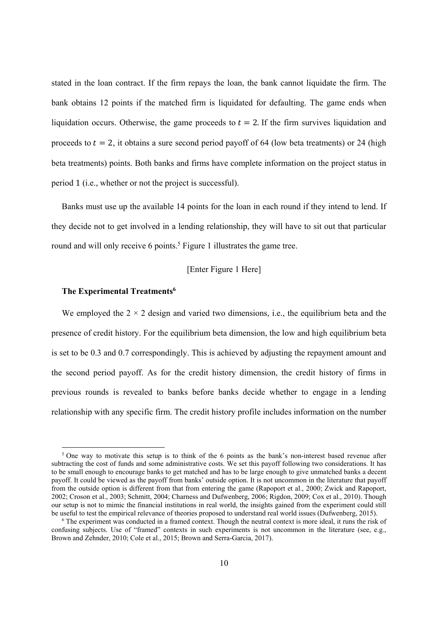stated in the loan contract. If the firm repays the loan, the bank cannot liquidate the firm. The bank obtains 12 points if the matched firm is liquidated for defaulting. The game ends when liquidation occurs. Otherwise, the game proceeds to  $t = 2$ . If the firm survives liquidation and proceeds to  $t = 2$ , it obtains a sure second period payoff of 64 (low beta treatments) or 24 (high beta treatments) points. Both banks and firms have complete information on the project status in period 1 (i.e., whether or not the project is successful).

Banks must use up the available 14 points for the loan in each round if they intend to lend. If they decide not to get involved in a lending relationship, they will have to sit out that particular round and will only receive 6 points.<sup>5</sup> Figure 1 illustrates the game tree.

#### [Enter Figure 1 Here]

#### **The Experimental Treatments6**

-

We employed the  $2 \times 2$  design and varied two dimensions, i.e., the equilibrium beta and the presence of credit history. For the equilibrium beta dimension, the low and high equilibrium beta is set to be 0.3 and 0.7 correspondingly. This is achieved by adjusting the repayment amount and the second period payoff. As for the credit history dimension, the credit history of firms in previous rounds is revealed to banks before banks decide whether to engage in a lending relationship with any specific firm. The credit history profile includes information on the number

<sup>&</sup>lt;sup>5</sup> One way to motivate this setup is to think of the 6 points as the bank's non-interest based revenue after subtracting the cost of funds and some administrative costs. We set this payoff following two considerations. It has to be small enough to encourage banks to get matched and has to be large enough to give unmatched banks a decent payoff. It could be viewed as the payoff from banks' outside option. It is not uncommon in the literature that payoff from the outside option is different from that from entering the game (Rapoport et al., 2000; Zwick and Rapoport, 2002; Croson et al., 2003; Schmitt, 2004; Charness and Dufwenberg, 2006; Rigdon, 2009; Cox et al., 2010). Though our setup is not to mimic the financial institutions in real world, the insights gained from the experiment could still be useful to test the empirical relevance of theories proposed to understand real world issues (Dufwenberg, 2015).

<sup>&</sup>lt;sup>6</sup> The experiment was conducted in a framed context. Though the neutral context is more ideal, it runs the risk of confusing subjects. Use of "framed" contexts in such experiments is not uncommon in the literature (see, e.g., Brown and Zehnder, 2010; Cole et al., 2015; Brown and Serra-Garcia, 2017).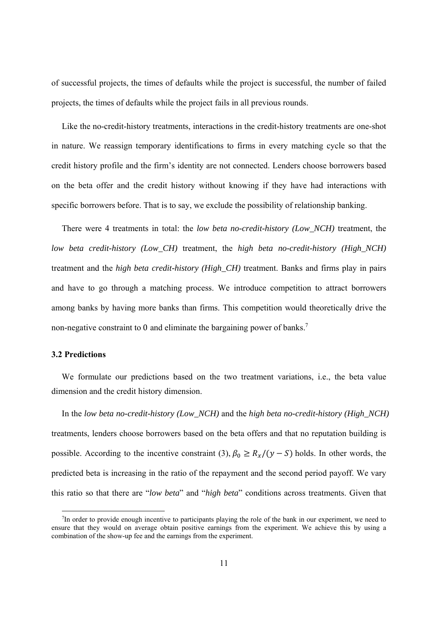of successful projects, the times of defaults while the project is successful, the number of failed projects, the times of defaults while the project fails in all previous rounds.

Like the no-credit-history treatments, interactions in the credit-history treatments are one-shot in nature. We reassign temporary identifications to firms in every matching cycle so that the credit history profile and the firm's identity are not connected. Lenders choose borrowers based on the beta offer and the credit history without knowing if they have had interactions with specific borrowers before. That is to say, we exclude the possibility of relationship banking.

There were 4 treatments in total: the *low beta no-credit-history (Low\_NCH)* treatment, the *low beta credit-history (Low\_CH)* treatment, the *high beta no-credit-history (High\_NCH)* treatment and the *high beta credit-history (High\_CH)* treatment. Banks and firms play in pairs and have to go through a matching process. We introduce competition to attract borrowers among banks by having more banks than firms. This competition would theoretically drive the non-negative constraint to 0 and eliminate the bargaining power of banks.<sup>7</sup>

#### **3.2 Predictions**

-

We formulate our predictions based on the two treatment variations, i.e., the beta value dimension and the credit history dimension.

In the *low beta no-credit-history (Low\_NCH)* and the *high beta no-credit-history (High\_NCH)* treatments, lenders choose borrowers based on the beta offers and that no reputation building is possible. According to the incentive constraint (3),  $\beta_0 \ge R_x/(y - S)$  holds. In other words, the predicted beta is increasing in the ratio of the repayment and the second period payoff. We vary this ratio so that there are "*low beta*" and "*high beta*" conditions across treatments. Given that

<sup>&</sup>lt;sup>7</sup>In order to provide enough incentive to participants playing the role of the bank in our experiment, we need to ensure that they would on average obtain positive earnings from the experiment. We achieve this by using a combination of the show-up fee and the earnings from the experiment.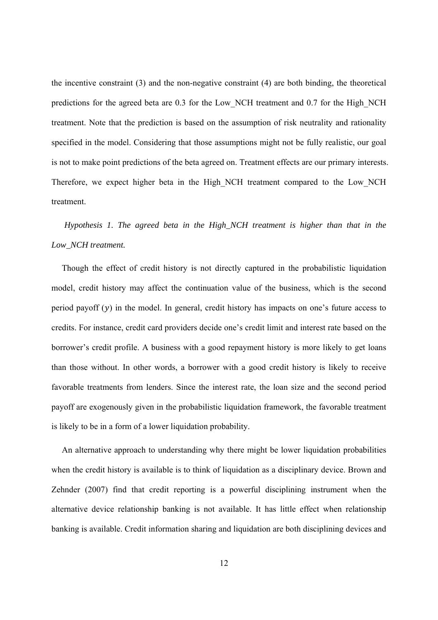the incentive constraint (3) and the non-negative constraint (4) are both binding, the theoretical predictions for the agreed beta are 0.3 for the Low\_NCH treatment and 0.7 for the High\_NCH treatment. Note that the prediction is based on the assumption of risk neutrality and rationality specified in the model. Considering that those assumptions might not be fully realistic, our goal is not to make point predictions of the beta agreed on. Treatment effects are our primary interests. Therefore, we expect higher beta in the High\_NCH treatment compared to the Low\_NCH treatment.

*Hypothesis 1. The agreed beta in the High\_NCH treatment is higher than that in the Low\_NCH treatment.*

Though the effect of credit history is not directly captured in the probabilistic liquidation model, credit history may affect the continuation value of the business, which is the second period payoff  $(y)$  in the model. In general, credit history has impacts on one's future access to credits. For instance, credit card providers decide one's credit limit and interest rate based on the borrower's credit profile. A business with a good repayment history is more likely to get loans than those without. In other words, a borrower with a good credit history is likely to receive favorable treatments from lenders. Since the interest rate, the loan size and the second period payoff are exogenously given in the probabilistic liquidation framework, the favorable treatment is likely to be in a form of a lower liquidation probability.

An alternative approach to understanding why there might be lower liquidation probabilities when the credit history is available is to think of liquidation as a disciplinary device. Brown and Zehnder (2007) find that credit reporting is a powerful disciplining instrument when the alternative device relationship banking is not available. It has little effect when relationship banking is available. Credit information sharing and liquidation are both disciplining devices and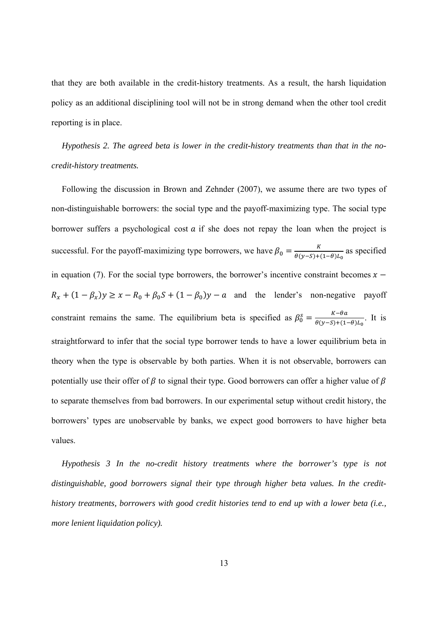that they are both available in the credit-history treatments. As a result, the harsh liquidation policy as an additional disciplining tool will not be in strong demand when the other tool credit reporting is in place.

*Hypothesis 2. The agreed beta is lower in the credit-history treatments than that in the nocredit-history treatments.* 

Following the discussion in Brown and Zehnder (2007), we assume there are two types of non-distinguishable borrowers: the social type and the payoff-maximizing type. The social type borrower suffers a psychological cost  $\alpha$  if she does not repay the loan when the project is successful. For the payoff-maximizing type borrowers, we have  $\beta_0 = \frac{K}{\theta(y-5)+(1-\theta)L_0}$  as specified in equation (7). For the social type borrowers, the borrower's incentive constraint becomes  $x R_x + (1 - \beta_x)y \ge x - R_0 + \beta_0 S + (1 - \beta_0)y - a$  and the lender's non-negative payoff constraint remains the same. The equilibrium beta is specified as  $\beta_0^s = \frac{K - \theta a}{\theta(y - s) + (1 - \theta)L_0}$ . It is straightforward to infer that the social type borrower tends to have a lower equilibrium beta in theory when the type is observable by both parties. When it is not observable, borrowers can potentially use their offer of  $\beta$  to signal their type. Good borrowers can offer a higher value of  $\beta$ to separate themselves from bad borrowers. In our experimental setup without credit history, the borrowers' types are unobservable by banks, we expect good borrowers to have higher beta values.

*Hypothesis 3 In the no-credit history treatments where the borrower's type is not distinguishable, good borrowers signal their type through higher beta values. In the credithistory treatments, borrowers with good credit histories tend to end up with a lower beta (i.e., more lenient liquidation policy).*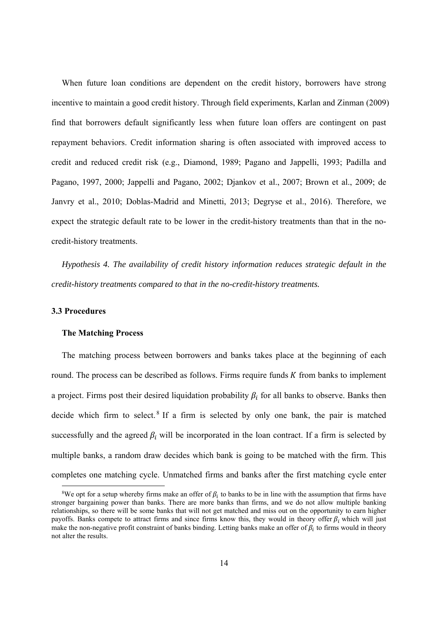When future loan conditions are dependent on the credit history, borrowers have strong incentive to maintain a good credit history. Through field experiments, Karlan and Zinman (2009) find that borrowers default significantly less when future loan offers are contingent on past repayment behaviors. Credit information sharing is often associated with improved access to credit and reduced credit risk (e.g., Diamond, 1989; Pagano and Jappelli, 1993; Padilla and Pagano, 1997, 2000; Jappelli and Pagano, 2002; Djankov et al., 2007; Brown et al., 2009; de Janvry et al., 2010; Doblas-Madrid and Minetti, 2013; Degryse et al., 2016). Therefore, we expect the strategic default rate to be lower in the credit-history treatments than that in the nocredit-history treatments.

*Hypothesis 4. The availability of credit history information reduces strategic default in the credit-history treatments compared to that in the no-credit-history treatments.*

#### **3.3 Procedures**

1

#### **The Matching Process**

The matching process between borrowers and banks takes place at the beginning of each round. The process can be described as follows. Firms require funds K from banks to implement a project. Firms post their desired liquidation probability  $\beta_i$  for all banks to observe. Banks then decide which firm to select.<sup>8</sup> If a firm is selected by only one bank, the pair is matched successfully and the agreed  $\beta_i$  will be incorporated in the loan contract. If a firm is selected by multiple banks, a random draw decides which bank is going to be matched with the firm. This completes one matching cycle. Unmatched firms and banks after the first matching cycle enter

<sup>&</sup>lt;sup>8</sup>We opt for a setup whereby firms make an offer of  $\beta_i$  to banks to be in line with the assumption that firms have stronger bargaining power than banks. There are more banks than firms, and we do not allow multiple banking relationships, so there will be some banks that will not get matched and miss out on the opportunity to earn higher payoffs. Banks compete to attract firms and since firms know this, they would in theory offer  $\beta_i$  which will just make the non-negative profit constraint of banks binding. Letting banks make an offer of  $\beta_i$  to firms would in theory not alter the results.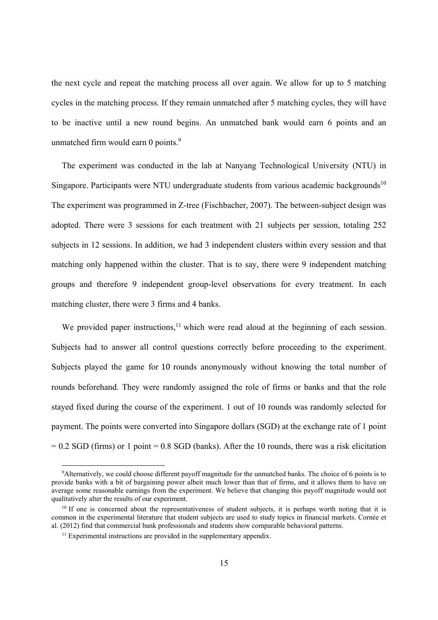the next cycle and repeat the matching process all over again. We allow for up to 5 matching cycles in the matching process. If they remain unmatched after 5 matching cycles, they will have to be inactive until a new round begins. An unmatched bank would earn 6 points and an unmatched firm would earn 0 points.<sup>9</sup>

The experiment was conducted in the lab at Nanyang Technological University (NTU) in Singapore. Participants were NTU undergraduate students from various academic backgrounds<sup>10</sup> The experiment was programmed in Z-tree (Fischbacher, 2007). The between-subject design was adopted. There were 3 sessions for each treatment with 21 subjects per session, totaling 252 subjects in 12 sessions. In addition, we had 3 independent clusters within every session and that matching only happened within the cluster. That is to say, there were 9 independent matching groups and therefore 9 independent group-level observations for every treatment. In each matching cluster, there were 3 firms and 4 banks.

We provided paper instructions,<sup>11</sup> which were read aloud at the beginning of each session. Subjects had to answer all control questions correctly before proceeding to the experiment. Subjects played the game for 10 rounds anonymously without knowing the total number of rounds beforehand. They were randomly assigned the role of firms or banks and that the role stayed fixed during the course of the experiment. 1 out of 10 rounds was randomly selected for payment. The points were converted into Singapore dollars (SGD) at the exchange rate of 1 point  $= 0.2$  SGD (firms) or 1 point  $= 0.8$  SGD (banks). After the 10 rounds, there was a risk elicitation

1

<sup>9</sup> Alternatively, we could choose different payoff magnitude for the unmatched banks. The choice of 6 points is to provide banks with a bit of bargaining power albeit much lower than that of firms, and it allows them to have on average some reasonable earnings from the experiment. We believe that changing this payoff magnitude would not qualitatively alter the results of our experiment.

 $10$  If one is concerned about the representativeness of student subjects, it is perhaps worth noting that it is common in the experimental literature that student subjects are used to study topics in financial markets. Cornée et al. (2012) find that commercial bank professionals and students show comparable behavioral patterns.

 $11$  Experimental instructions are provided in the supplementary appendix.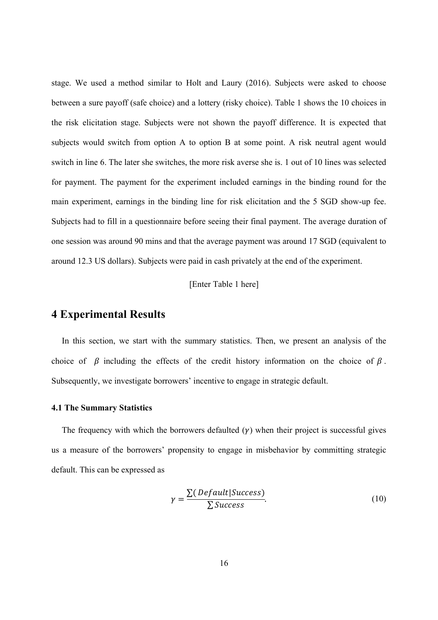stage. We used a method similar to Holt and Laury (2016). Subjects were asked to choose between a sure payoff (safe choice) and a lottery (risky choice). Table 1 shows the 10 choices in the risk elicitation stage. Subjects were not shown the payoff difference. It is expected that subjects would switch from option A to option B at some point. A risk neutral agent would switch in line 6. The later she switches, the more risk averse she is. 1 out of 10 lines was selected for payment. The payment for the experiment included earnings in the binding round for the main experiment, earnings in the binding line for risk elicitation and the 5 SGD show-up fee. Subjects had to fill in a questionnaire before seeing their final payment. The average duration of one session was around 90 mins and that the average payment was around 17 SGD (equivalent to around 12.3 US dollars). Subjects were paid in cash privately at the end of the experiment.

[Enter Table 1 here]

## **4 Experimental Results**

In this section, we start with the summary statistics. Then, we present an analysis of the choice of  $\beta$  including the effects of the credit history information on the choice of  $\beta$ . Subsequently, we investigate borrowers' incentive to engage in strategic default.

#### **4.1 The Summary Statistics**

The frequency with which the borrowers defaulted  $(y)$  when their project is successful gives us a measure of the borrowers' propensity to engage in misbehavior by committing strategic default. This can be expressed as

$$
\gamma = \frac{\sum (Default|Success)}{\sum Success}.
$$
 (10)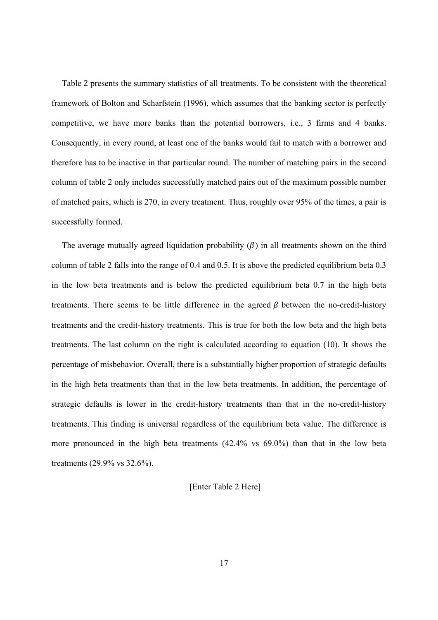Table 2 presents the summary statistics of all treatments. To be consistent with the theoretical framework of Bolton and Scharfstein (1996), which assumes that the banking sector is perfectly competitive, we have more banks than the potential borrowers, i.e., 3 firms and 4 banks. Consequently, in every round, at least one of the banks would fail to match with a borrower and therefore has to be inactive in that particular round. The number of matching pairs in the second column of table 2 only includes successfully matched pairs out of the maximum possible number of matched pairs, which is 270, in every treatment. Thus, roughly over 95% of the times, a pair is successfully formed.

The average mutually agreed liquidation probability  $(\beta)$  in all treatments shown on the third column of table 2 falls into the range of 0.4 and 0.5. It is above the predicted equilibrium beta 0.3 in the low beta treatments and is below the predicted equilibrium beta 0.7 in the high beta treatments. There seems to be little difference in the agreed  $\beta$  between the no-credit-history treatments and the credit-history treatments. This is true for both the low beta and the high beta treatments. The last column on the right is calculated according to equation (10). It shows the percentage of misbehavior. Overall, there is a substantially higher proportion of strategic defaults in the high beta treatments than that in the low beta treatments. In addition, the percentage of strategic defaults is lower in the credit-history treatments than that in the no-credit-history treatments. This finding is universal regardless of the equilibrium beta value. The difference is more pronounced in the high beta treatments (42.4% vs 69.0%) than that in the low beta treatments (29.9% vs 32.6%).

[Enter Table 2 Here]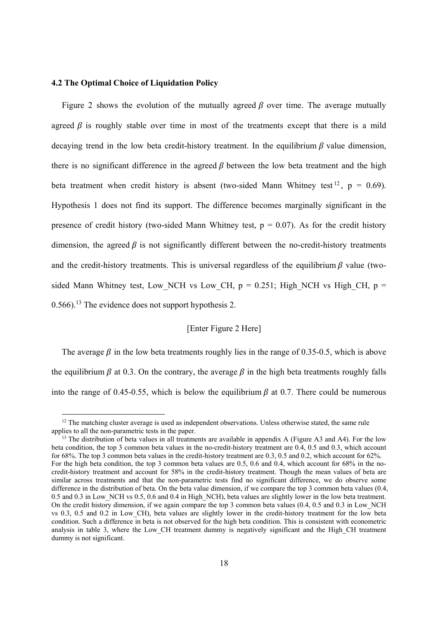#### **4.2 The Optimal Choice of Liquidation Policy**

1

Figure 2 shows the evolution of the mutually agreed  $\beta$  over time. The average mutually agreed  $\beta$  is roughly stable over time in most of the treatments except that there is a mild decaying trend in the low beta credit-history treatment. In the equilibrium  $\beta$  value dimension, there is no significant difference in the agreed  $\beta$  between the low beta treatment and the high beta treatment when credit history is absent (two-sided Mann Whitney test <sup>12</sup>, p = 0.69). Hypothesis 1 does not find its support. The difference becomes marginally significant in the presence of credit history (two-sided Mann Whitney test,  $p = 0.07$ ). As for the credit history dimension, the agreed  $\beta$  is not significantly different between the no-credit-history treatments and the credit-history treatments. This is universal regardless of the equilibrium  $\beta$  value (twosided Mann Whitney test, Low NCH vs Low CH, p = 0.251; High NCH vs High CH, p =  $0.566$ ).<sup>13</sup> The evidence does not support hypothesis 2.

#### [Enter Figure 2 Here]

The average  $\beta$  in the low beta treatments roughly lies in the range of 0.35-0.5, which is above the equilibrium  $\beta$  at 0.3. On the contrary, the average  $\beta$  in the high beta treatments roughly falls into the range of 0.45-0.55, which is below the equilibrium  $\beta$  at 0.7. There could be numerous

<sup>&</sup>lt;sup>12</sup> The matching cluster average is used as independent observations. Unless otherwise stated, the same rule applies to all the non-parametric tests in the paper.

<sup>&</sup>lt;sup>13</sup> The distribution of beta values in all treatments are available in appendix A (Figure A3 and A4). For the low beta condition, the top 3 common beta values in the no-credit-history treatment are 0.4, 0.5 and 0.3, which account for 68%. The top 3 common beta values in the credit-history treatment are 0.3, 0.5 and 0.2, which account for 62%. For the high beta condition, the top 3 common beta values are 0.5, 0.6 and 0.4, which account for 68% in the nocredit-history treatment and account for 58% in the credit-history treatment. Though the mean values of beta are similar across treatments and that the non-parametric tests find no significant difference, we do observe some difference in the distribution of beta. On the beta value dimension, if we compare the top 3 common beta values (0.4, 0.5 and 0.3 in Low NCH vs 0.5, 0.6 and 0.4 in High NCH), beta values are slightly lower in the low beta treatment. On the credit history dimension, if we again compare the top 3 common beta values (0.4, 0.5 and 0.3 in Low\_NCH vs 0.3, 0.5 and 0.2 in Low\_CH), beta values are slightly lower in the credit-history treatment for the low beta condition. Such a difference in beta is not observed for the high beta condition. This is consistent with econometric analysis in table 3, where the Low\_CH treatment dummy is negatively significant and the High\_CH treatment dummy is not significant.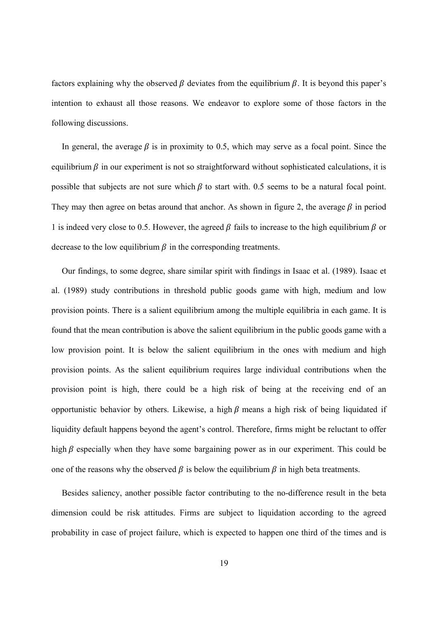factors explaining why the observed  $\beta$  deviates from the equilibrium  $\beta$ . It is beyond this paper's intention to exhaust all those reasons. We endeavor to explore some of those factors in the following discussions.

In general, the average  $\beta$  is in proximity to 0.5, which may serve as a focal point. Since the equilibrium  $\beta$  in our experiment is not so straightforward without sophisticated calculations, it is possible that subjects are not sure which  $\beta$  to start with. 0.5 seems to be a natural focal point. They may then agree on betas around that anchor. As shown in figure 2, the average  $\beta$  in period 1 is indeed very close to 0.5. However, the agreed  $\beta$  fails to increase to the high equilibrium  $\beta$  or decrease to the low equilibrium  $\beta$  in the corresponding treatments.

Our findings, to some degree, share similar spirit with findings in Isaac et al. (1989). Isaac et al. (1989) study contributions in threshold public goods game with high, medium and low provision points. There is a salient equilibrium among the multiple equilibria in each game. It is found that the mean contribution is above the salient equilibrium in the public goods game with a low provision point. It is below the salient equilibrium in the ones with medium and high provision points. As the salient equilibrium requires large individual contributions when the provision point is high, there could be a high risk of being at the receiving end of an opportunistic behavior by others. Likewise, a high  $\beta$  means a high risk of being liquidated if liquidity default happens beyond the agent's control. Therefore, firms might be reluctant to offer high  $\beta$  especially when they have some bargaining power as in our experiment. This could be one of the reasons why the observed  $\beta$  is below the equilibrium  $\beta$  in high beta treatments.

Besides saliency, another possible factor contributing to the no-difference result in the beta dimension could be risk attitudes. Firms are subject to liquidation according to the agreed probability in case of project failure, which is expected to happen one third of the times and is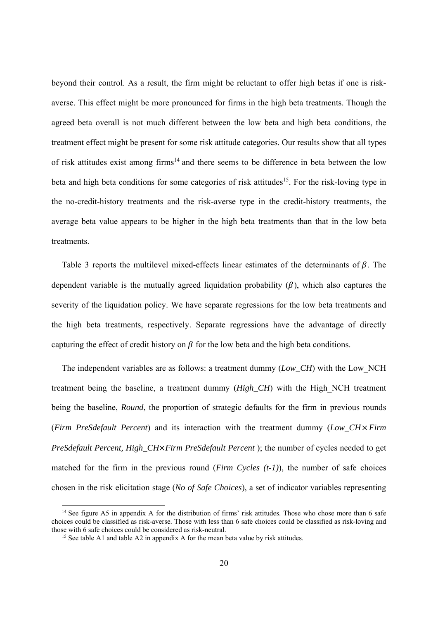beyond their control. As a result, the firm might be reluctant to offer high betas if one is riskaverse. This effect might be more pronounced for firms in the high beta treatments. Though the agreed beta overall is not much different between the low beta and high beta conditions, the treatment effect might be present for some risk attitude categories. Our results show that all types of risk attitudes exist among firms<sup>14</sup> and there seems to be difference in beta between the low beta and high beta conditions for some categories of risk attitudes<sup>15</sup>. For the risk-loving type in the no-credit-history treatments and the risk-averse type in the credit-history treatments, the average beta value appears to be higher in the high beta treatments than that in the low beta treatments.

Table 3 reports the multilevel mixed-effects linear estimates of the determinants of  $\beta$ . The dependent variable is the mutually agreed liquidation probability  $(\beta)$ , which also captures the severity of the liquidation policy. We have separate regressions for the low beta treatments and the high beta treatments, respectively. Separate regressions have the advantage of directly capturing the effect of credit history on  $\beta$  for the low beta and the high beta conditions.

The independent variables are as follows: a treatment dummy (*Low\_CH*) with the Low\_NCH treatment being the baseline, a treatment dummy (*High\_CH*) with the High NCH treatment being the baseline, *Round*, the proportion of strategic defaults for the firm in previous rounds (*Firm PreSdefault Percent*) and its interaction with the treatment dummy (*Low\_CH*ൈ*Firm PreSdefault Percent, High\_CH×Firm PreSdefault Percent* ); the number of cycles needed to get matched for the firm in the previous round (*Firm Cycles (t-1)*), the number of safe choices chosen in the risk elicitation stage (*No of Safe Choices*), a set of indicator variables representing

1

<sup>&</sup>lt;sup>14</sup> See figure A5 in appendix A for the distribution of firms' risk attitudes. Those who chose more than 6 safe choices could be classified as risk-averse. Those with less than 6 safe choices could be classified as risk-loving and

<sup>&</sup>lt;sup>15</sup> See table A1 and table A2 in appendix A for the mean beta value by risk attitudes.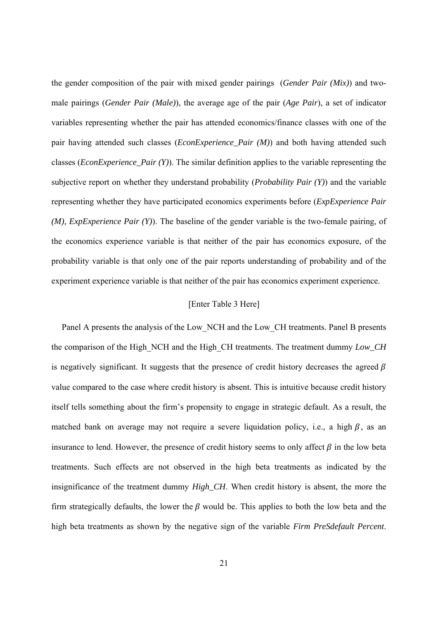the gender composition of the pair with mixed gender pairings (*Gender Pair (Mix)*) and twomale pairings (*Gender Pair (Male)*), the average age of the pair (*Age Pair*), a set of indicator variables representing whether the pair has attended economics/finance classes with one of the pair having attended such classes (*EconExperience Pair (M)*) and both having attended such classes (*EconExperience\_Pair (Y)*). The similar definition applies to the variable representing the subjective report on whether they understand probability (*Probability Pair (Y)*) and the variable representing whether they have participated economics experiments before (*ExpExperience Pair (M), ExpExperience Pair (Y)*). The baseline of the gender variable is the two-female pairing, of the economics experience variable is that neither of the pair has economics exposure, of the probability variable is that only one of the pair reports understanding of probability and of the experiment experience variable is that neither of the pair has economics experiment experience.

#### [Enter Table 3 Here]

Panel A presents the analysis of the Low\_NCH and the Low\_CH treatments. Panel B presents the comparison of the High\_NCH and the High\_CH treatments. The treatment dummy *Low\_CH* is negatively significant. It suggests that the presence of credit history decreases the agreed  $\beta$ value compared to the case where credit history is absent. This is intuitive because credit history itself tells something about the firm's propensity to engage in strategic default. As a result, the matched bank on average may not require a severe liquidation policy, i.e., a high  $\beta$ , as an insurance to lend. However, the presence of credit history seems to only affect  $\beta$  in the low beta treatments. Such effects are not observed in the high beta treatments as indicated by the insignificance of the treatment dummy *High\_CH*. When credit history is absent, the more the firm strategically defaults, the lower the  $\beta$  would be. This applies to both the low beta and the high beta treatments as shown by the negative sign of the variable *Firm PreSdefault Percent*.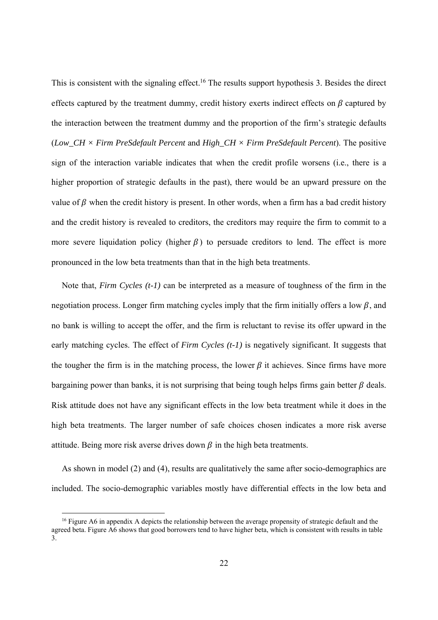This is consistent with the signaling effect.<sup>16</sup> The results support hypothesis 3. Besides the direct effects captured by the treatment dummy, credit history exerts indirect effects on  $\beta$  captured by the interaction between the treatment dummy and the proportion of the firm's strategic defaults (*Low\_CH × Firm PreSdefault Percent* and *High\_CH × Firm PreSdefault Percent*). The positive sign of the interaction variable indicates that when the credit profile worsens (i.e., there is a higher proportion of strategic defaults in the past), there would be an upward pressure on the value of  $\beta$  when the credit history is present. In other words, when a firm has a bad credit history and the credit history is revealed to creditors, the creditors may require the firm to commit to a more severe liquidation policy (higher  $\beta$ ) to persuade creditors to lend. The effect is more pronounced in the low beta treatments than that in the high beta treatments.

Note that, *Firm Cycles (t-1)* can be interpreted as a measure of toughness of the firm in the negotiation process. Longer firm matching cycles imply that the firm initially offers a low  $\beta$ , and no bank is willing to accept the offer, and the firm is reluctant to revise its offer upward in the early matching cycles. The effect of *Firm Cycles (t-1)* is negatively significant. It suggests that the tougher the firm is in the matching process, the lower  $\beta$  it achieves. Since firms have more bargaining power than banks, it is not surprising that being tough helps firms gain better  $\beta$  deals. Risk attitude does not have any significant effects in the low beta treatment while it does in the high beta treatments. The larger number of safe choices chosen indicates a more risk averse attitude. Being more risk averse drives down  $\beta$  in the high beta treatments.

As shown in model (2) and (4), results are qualitatively the same after socio-demographics are included. The socio-demographic variables mostly have differential effects in the low beta and

1

<sup>&</sup>lt;sup>16</sup> Figure A6 in appendix A depicts the relationship between the average propensity of strategic default and the agreed beta. Figure A6 shows that good borrowers tend to have higher beta, which is consistent with results in table 3.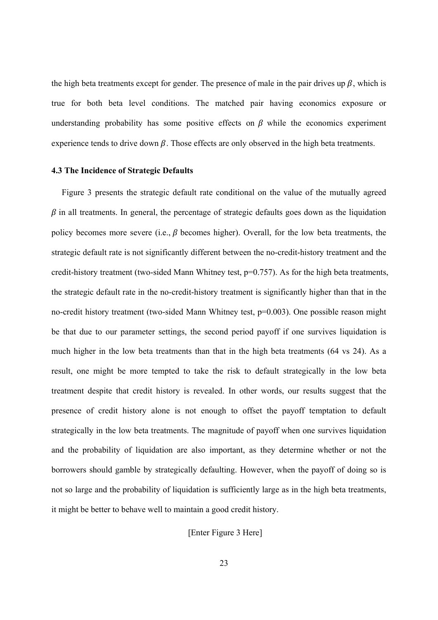the high beta treatments except for gender. The presence of male in the pair drives up  $\beta$ , which is true for both beta level conditions. The matched pair having economics exposure or understanding probability has some positive effects on  $\beta$  while the economics experiment experience tends to drive down  $\beta$ . Those effects are only observed in the high beta treatments.

#### **4.3 The Incidence of Strategic Defaults**

Figure 3 presents the strategic default rate conditional on the value of the mutually agreed  $\beta$  in all treatments. In general, the percentage of strategic defaults goes down as the liquidation policy becomes more severe (i.e.,  $\beta$  becomes higher). Overall, for the low beta treatments, the strategic default rate is not significantly different between the no-credit-history treatment and the credit-history treatment (two-sided Mann Whitney test, p=0.757). As for the high beta treatments, the strategic default rate in the no-credit-history treatment is significantly higher than that in the no-credit history treatment (two-sided Mann Whitney test,  $p=0.003$ ). One possible reason might be that due to our parameter settings, the second period payoff if one survives liquidation is much higher in the low beta treatments than that in the high beta treatments (64 vs 24). As a result, one might be more tempted to take the risk to default strategically in the low beta treatment despite that credit history is revealed. In other words, our results suggest that the presence of credit history alone is not enough to offset the payoff temptation to default strategically in the low beta treatments. The magnitude of payoff when one survives liquidation and the probability of liquidation are also important, as they determine whether or not the borrowers should gamble by strategically defaulting. However, when the payoff of doing so is not so large and the probability of liquidation is sufficiently large as in the high beta treatments, it might be better to behave well to maintain a good credit history.

[Enter Figure 3 Here]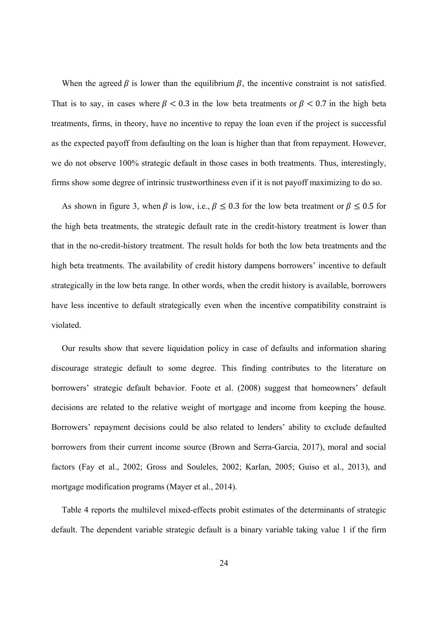When the agreed  $\beta$  is lower than the equilibrium  $\beta$ , the incentive constraint is not satisfied. That is to say, in cases where  $\beta$  < 0.3 in the low beta treatments or  $\beta$  < 0.7 in the high beta treatments, firms, in theory, have no incentive to repay the loan even if the project is successful as the expected payoff from defaulting on the loan is higher than that from repayment. However, we do not observe 100% strategic default in those cases in both treatments. Thus, interestingly, firms show some degree of intrinsic trustworthiness even if it is not payoff maximizing to do so.

As shown in figure 3, when  $\beta$  is low, i.e.,  $\beta \le 0.3$  for the low beta treatment or  $\beta \le 0.5$  for the high beta treatments, the strategic default rate in the credit-history treatment is lower than that in the no-credit-history treatment. The result holds for both the low beta treatments and the high beta treatments. The availability of credit history dampens borrowers' incentive to default strategically in the low beta range. In other words, when the credit history is available, borrowers have less incentive to default strategically even when the incentive compatibility constraint is violated.

Our results show that severe liquidation policy in case of defaults and information sharing discourage strategic default to some degree. This finding contributes to the literature on borrowers' strategic default behavior. Foote et al. (2008) suggest that homeowners' default decisions are related to the relative weight of mortgage and income from keeping the house. Borrowers' repayment decisions could be also related to lenders' ability to exclude defaulted borrowers from their current income source (Brown and Serra-Garcia, 2017), moral and social factors (Fay et al., 2002; Gross and Souleles, 2002; Karlan, 2005; Guiso et al., 2013), and mortgage modification programs (Mayer et al., 2014).

Table 4 reports the multilevel mixed-effects probit estimates of the determinants of strategic default. The dependent variable strategic default is a binary variable taking value 1 if the firm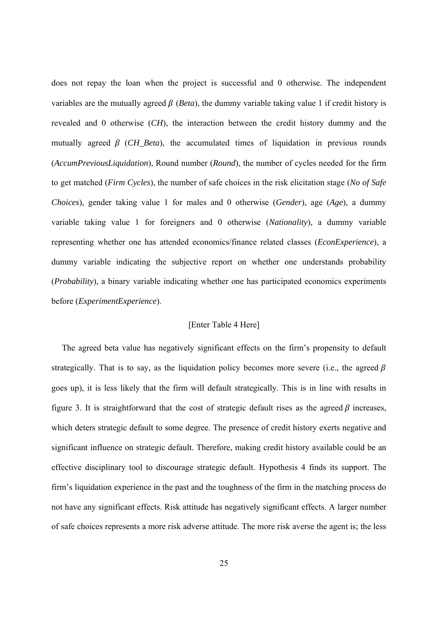does not repay the loan when the project is successful and 0 otherwise. The independent variables are the mutually agreed  $\beta$  (*Beta*), the dummy variable taking value 1 if credit history is revealed and 0 otherwise (*CH*), the interaction between the credit history dummy and the mutually agreed  $\beta$  (CH\_Beta), the accumulated times of liquidation in previous rounds (*AccumPreviousLiquidation*), Round number (*Round*), the number of cycles needed for the firm to get matched (*Firm Cycles*), the number of safe choices in the risk elicitation stage (*No of Safe Choices*), gender taking value 1 for males and 0 otherwise (*Gender*), age (*Age*), a dummy variable taking value 1 for foreigners and 0 otherwise (*Nationality*), a dummy variable representing whether one has attended economics/finance related classes (*EconExperience*), a dummy variable indicating the subjective report on whether one understands probability (*Probability*), a binary variable indicating whether one has participated economics experiments before (*ExperimentExperience*).

#### [Enter Table 4 Here]

The agreed beta value has negatively significant effects on the firm's propensity to default strategically. That is to say, as the liquidation policy becomes more severe (i.e., the agreed  $\beta$ goes up), it is less likely that the firm will default strategically. This is in line with results in figure 3. It is straightforward that the cost of strategic default rises as the agreed  $\beta$  increases, which deters strategic default to some degree. The presence of credit history exerts negative and significant influence on strategic default. Therefore, making credit history available could be an effective disciplinary tool to discourage strategic default. Hypothesis 4 finds its support. The firm's liquidation experience in the past and the toughness of the firm in the matching process do not have any significant effects. Risk attitude has negatively significant effects. A larger number of safe choices represents a more risk adverse attitude. The more risk averse the agent is; the less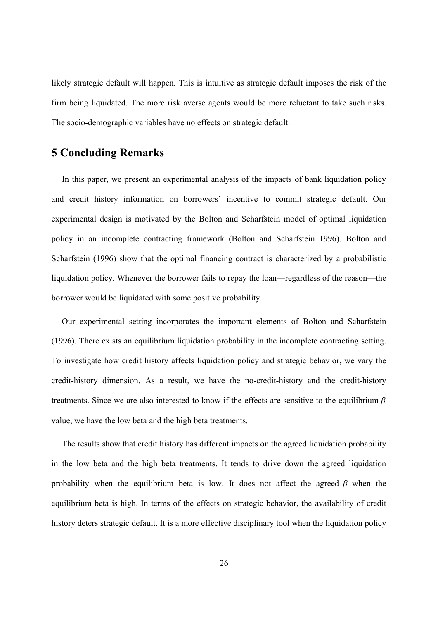likely strategic default will happen. This is intuitive as strategic default imposes the risk of the firm being liquidated. The more risk averse agents would be more reluctant to take such risks. The socio-demographic variables have no effects on strategic default.

### **5 Concluding Remarks**

In this paper, we present an experimental analysis of the impacts of bank liquidation policy and credit history information on borrowers' incentive to commit strategic default. Our experimental design is motivated by the Bolton and Scharfstein model of optimal liquidation policy in an incomplete contracting framework (Bolton and Scharfstein 1996). Bolton and Scharfstein (1996) show that the optimal financing contract is characterized by a probabilistic liquidation policy. Whenever the borrower fails to repay the loan—regardless of the reason—the borrower would be liquidated with some positive probability.

Our experimental setting incorporates the important elements of Bolton and Scharfstein (1996). There exists an equilibrium liquidation probability in the incomplete contracting setting. To investigate how credit history affects liquidation policy and strategic behavior, we vary the credit-history dimension. As a result, we have the no-credit-history and the credit-history treatments. Since we are also interested to know if the effects are sensitive to the equilibrium  $\beta$ value, we have the low beta and the high beta treatments.

The results show that credit history has different impacts on the agreed liquidation probability in the low beta and the high beta treatments. It tends to drive down the agreed liquidation probability when the equilibrium beta is low. It does not affect the agreed  $\beta$  when the equilibrium beta is high. In terms of the effects on strategic behavior, the availability of credit history deters strategic default. It is a more effective disciplinary tool when the liquidation policy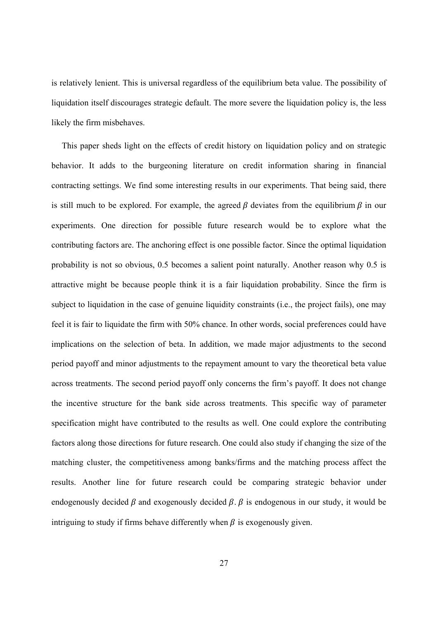is relatively lenient. This is universal regardless of the equilibrium beta value. The possibility of liquidation itself discourages strategic default. The more severe the liquidation policy is, the less likely the firm misbehaves.

This paper sheds light on the effects of credit history on liquidation policy and on strategic behavior. It adds to the burgeoning literature on credit information sharing in financial contracting settings. We find some interesting results in our experiments. That being said, there is still much to be explored. For example, the agreed  $\beta$  deviates from the equilibrium  $\beta$  in our experiments. One direction for possible future research would be to explore what the contributing factors are. The anchoring effect is one possible factor. Since the optimal liquidation probability is not so obvious, 0.5 becomes a salient point naturally. Another reason why 0.5 is attractive might be because people think it is a fair liquidation probability. Since the firm is subject to liquidation in the case of genuine liquidity constraints (i.e., the project fails), one may feel it is fair to liquidate the firm with 50% chance. In other words, social preferences could have implications on the selection of beta. In addition, we made major adjustments to the second period payoff and minor adjustments to the repayment amount to vary the theoretical beta value across treatments. The second period payoff only concerns the firm's payoff. It does not change the incentive structure for the bank side across treatments. This specific way of parameter specification might have contributed to the results as well. One could explore the contributing factors along those directions for future research. One could also study if changing the size of the matching cluster, the competitiveness among banks/firms and the matching process affect the results. Another line for future research could be comparing strategic behavior under endogenously decided  $\beta$  and exogenously decided  $\beta$ .  $\beta$  is endogenous in our study, it would be intriguing to study if firms behave differently when  $\beta$  is exogenously given.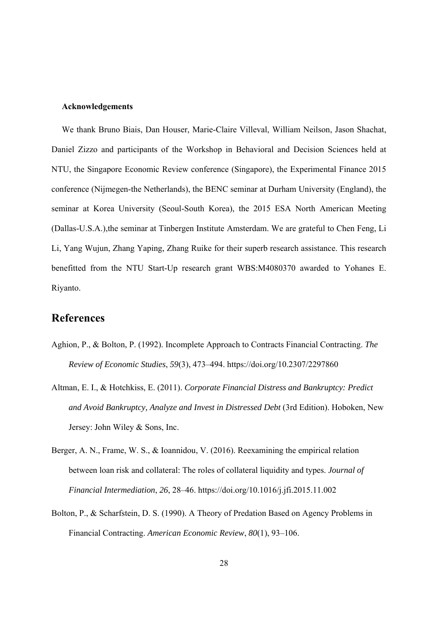#### **Acknowledgements**

We thank Bruno Biais, Dan Houser, Marie-Claire Villeval, William Neilson, Jason Shachat, Daniel Zizzo and participants of the Workshop in Behavioral and Decision Sciences held at NTU, the Singapore Economic Review conference (Singapore), the Experimental Finance 2015 conference (Nijmegen-the Netherlands), the BENC seminar at Durham University (England), the seminar at Korea University (Seoul-South Korea), the 2015 ESA North American Meeting (Dallas-U.S.A.),the seminar at Tinbergen Institute Amsterdam. We are grateful to Chen Feng, Li Li, Yang Wujun, Zhang Yaping, Zhang Ruike for their superb research assistance. This research benefitted from the NTU Start-Up research grant WBS:M4080370 awarded to Yohanes E. Riyanto.

# **References**

- Aghion, P., & Bolton, P. (1992). Incomplete Approach to Contracts Financial Contracting. *The Review of Economic Studies*, *59*(3), 473–494. https://doi.org/10.2307/2297860
- Altman, E. I., & Hotchkiss, E. (2011). *Corporate Financial Distress and Bankruptcy: Predict and Avoid Bankruptcy, Analyze and Invest in Distressed Debt* (3rd Edition). Hoboken, New Jersey: John Wiley & Sons, Inc.
- Berger, A. N., Frame, W. S., & Ioannidou, V. (2016). Reexamining the empirical relation between loan risk and collateral: The roles of collateral liquidity and types. *Journal of Financial Intermediation*, *26*, 28–46. https://doi.org/10.1016/j.jfi.2015.11.002
- Bolton, P., & Scharfstein, D. S. (1990). A Theory of Predation Based on Agency Problems in Financial Contracting. *American Economic Review*, *80*(1), 93–106.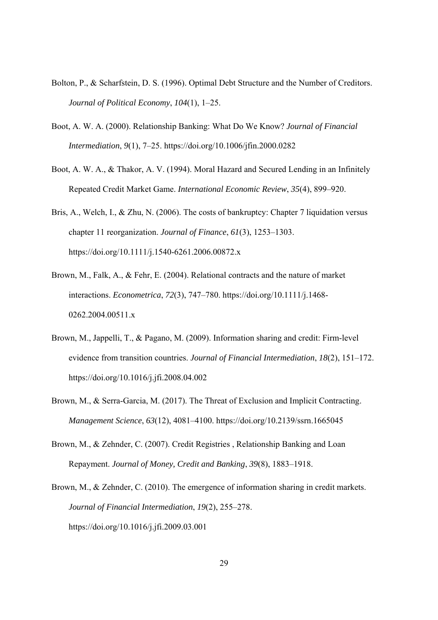- Bolton, P., & Scharfstein, D. S. (1996). Optimal Debt Structure and the Number of Creditors. *Journal of Political Economy*, *104*(1), 1–25.
- Boot, A. W. A. (2000). Relationship Banking: What Do We Know? *Journal of Financial Intermediation*, *9*(1), 7–25. https://doi.org/10.1006/jfin.2000.0282
- Boot, A. W. A., & Thakor, A. V. (1994). Moral Hazard and Secured Lending in an Infinitely Repeated Credit Market Game. *International Economic Review*, *35*(4), 899–920.
- Bris, A., Welch, I., & Zhu, N. (2006). The costs of bankruptcy: Chapter 7 liquidation versus chapter 11 reorganization. *Journal of Finance*, *61*(3), 1253–1303. https://doi.org/10.1111/j.1540-6261.2006.00872.x
- Brown, M., Falk, A., & Fehr, E. (2004). Relational contracts and the nature of market interactions. *Econometrica*, *72*(3), 747–780. https://doi.org/10.1111/j.1468- 0262.2004.00511.x
- Brown, M., Jappelli, T., & Pagano, M. (2009). Information sharing and credit: Firm-level evidence from transition countries. *Journal of Financial Intermediation*, *18*(2), 151–172. https://doi.org/10.1016/j.jfi.2008.04.002
- Brown, M., & Serra-Garcia, M. (2017). The Threat of Exclusion and Implicit Contracting. *Management Science*, *63*(12), 4081–4100. https://doi.org/10.2139/ssrn.1665045
- Brown, M., & Zehnder, C. (2007). Credit Registries , Relationship Banking and Loan Repayment. *Journal of Money, Credit and Banking*, *39*(8), 1883–1918.
- Brown, M., & Zehnder, C. (2010). The emergence of information sharing in credit markets. *Journal of Financial Intermediation*, *19*(2), 255–278. https://doi.org/10.1016/j.jfi.2009.03.001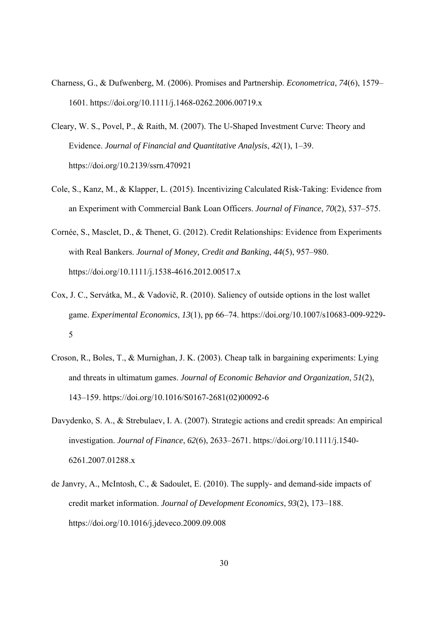- Charness, G., & Dufwenberg, M. (2006). Promises and Partnership. *Econometrica*, *74*(6), 1579– 1601. https://doi.org/10.1111/j.1468-0262.2006.00719.x
- Cleary, W. S., Povel, P., & Raith, M. (2007). The U-Shaped Investment Curve: Theory and Evidence. *Journal of Financial and Quantitative Analysis*, *42*(1), 1–39. https://doi.org/10.2139/ssrn.470921
- Cole, S., Kanz, M., & Klapper, L. (2015). Incentivizing Calculated Risk-Taking: Evidence from an Experiment with Commercial Bank Loan Officers. *Journal of Finance*, *70*(2), 537–575.
- Cornée, S., Masclet, D., & Thenet, G. (2012). Credit Relationships: Evidence from Experiments with Real Bankers. *Journal of Money, Credit and Banking*, *44*(5), 957–980. https://doi.org/10.1111/j.1538-4616.2012.00517.x
- Cox, J. C., Servátka, M., & Vadovič, R. (2010). Saliency of outside options in the lost wallet game. *Experimental Economics*, *13*(1), pp 66–74. https://doi.org/10.1007/s10683-009-9229- 5
- Croson, R., Boles, T., & Murnighan, J. K. (2003). Cheap talk in bargaining experiments: Lying and threats in ultimatum games. *Journal of Economic Behavior and Organization*, *51*(2), 143–159. https://doi.org/10.1016/S0167-2681(02)00092-6
- Davydenko, S. A., & Strebulaev, I. A. (2007). Strategic actions and credit spreads: An empirical investigation. *Journal of Finance*, *62*(6), 2633–2671. https://doi.org/10.1111/j.1540- 6261.2007.01288.x
- de Janvry, A., McIntosh, C., & Sadoulet, E. (2010). The supply- and demand-side impacts of credit market information. *Journal of Development Economics*, *93*(2), 173–188. https://doi.org/10.1016/j.jdeveco.2009.09.008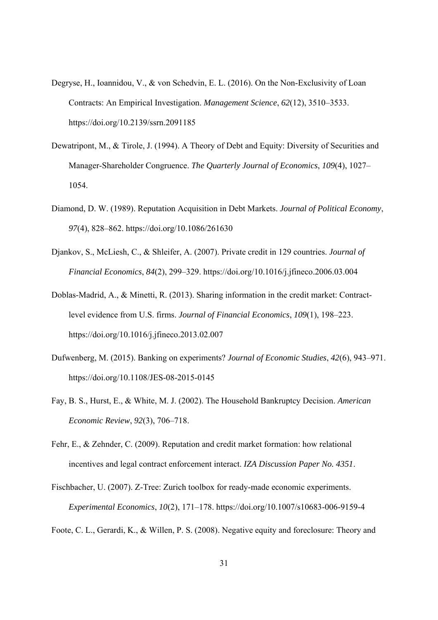- Degryse, H., Ioannidou, V., & von Schedvin, E. L. (2016). On the Non-Exclusivity of Loan Contracts: An Empirical Investigation. *Management Science*, *62*(12), 3510–3533. https://doi.org/10.2139/ssrn.2091185
- Dewatripont, M., & Tirole, J. (1994). A Theory of Debt and Equity: Diversity of Securities and Manager-Shareholder Congruence. *The Quarterly Journal of Economics*, *109*(4), 1027– 1054.
- Diamond, D. W. (1989). Reputation Acquisition in Debt Markets. *Journal of Political Economy*, *97*(4), 828–862. https://doi.org/10.1086/261630
- Djankov, S., McLiesh, C., & Shleifer, A. (2007). Private credit in 129 countries. *Journal of Financial Economics*, *84*(2), 299–329. https://doi.org/10.1016/j.jfineco.2006.03.004
- Doblas-Madrid, A., & Minetti, R. (2013). Sharing information in the credit market: Contractlevel evidence from U.S. firms. *Journal of Financial Economics*, *109*(1), 198–223. https://doi.org/10.1016/j.jfineco.2013.02.007
- Dufwenberg, M. (2015). Banking on experiments? *Journal of Economic Studies*, *42*(6), 943–971. https://doi.org/10.1108/JES-08-2015-0145
- Fay, B. S., Hurst, E., & White, M. J. (2002). The Household Bankruptcy Decision. *American Economic Review*, *92*(3), 706–718.
- Fehr, E., & Zehnder, C. (2009). Reputation and credit market formation: how relational incentives and legal contract enforcement interact. *IZA Discussion Paper No. 4351*.
- Fischbacher, U. (2007). Z-Tree: Zurich toolbox for ready-made economic experiments. *Experimental Economics*, *10*(2), 171–178. https://doi.org/10.1007/s10683-006-9159-4

Foote, C. L., Gerardi, K., & Willen, P. S. (2008). Negative equity and foreclosure: Theory and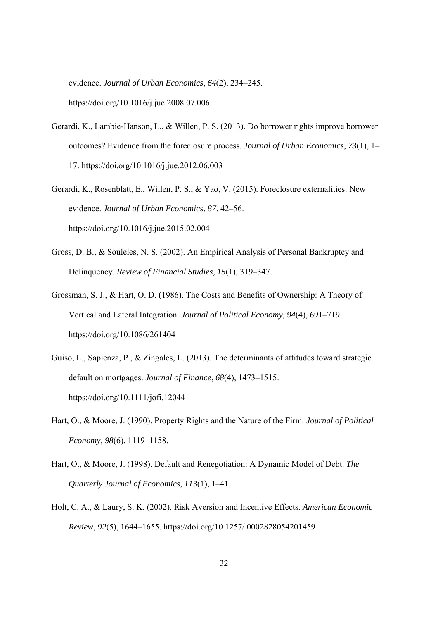evidence. *Journal of Urban Economics*, *64*(2), 234–245. https://doi.org/10.1016/j.jue.2008.07.006

- Gerardi, K., Lambie-Hanson, L., & Willen, P. S. (2013). Do borrower rights improve borrower outcomes? Evidence from the foreclosure process. *Journal of Urban Economics*, *73*(1), 1– 17. https://doi.org/10.1016/j.jue.2012.06.003
- Gerardi, K., Rosenblatt, E., Willen, P. S., & Yao, V. (2015). Foreclosure externalities: New evidence. *Journal of Urban Economics*, *87*, 42–56. https://doi.org/10.1016/j.jue.2015.02.004
- Gross, D. B., & Souleles, N. S. (2002). An Empirical Analysis of Personal Bankruptcy and Delinquency. *Review of Financial Studies, 15*(1), 319–347.
- Grossman, S. J., & Hart, O. D. (1986). The Costs and Benefits of Ownership: A Theory of Vertical and Lateral Integration. *Journal of Political Economy*, *94*(4), 691–719. https://doi.org/10.1086/261404
- Guiso, L., Sapienza, P., & Zingales, L. (2013). The determinants of attitudes toward strategic default on mortgages. *Journal of Finance*, *68*(4), 1473–1515. https://doi.org/10.1111/jofi.12044
- Hart, O., & Moore, J. (1990). Property Rights and the Nature of the Firm. *Journal of Political Economy*, *98*(6), 1119–1158.
- Hart, O., & Moore, J. (1998). Default and Renegotiation: A Dynamic Model of Debt. *The Quarterly Journal of Economics*, *113*(1), 1–41.
- Holt, C. A., & Laury, S. K. (2002). Risk Aversion and Incentive Effects. *American Economic Review*, *92*(5), 1644–1655. https://doi.org/10.1257/ 0002828054201459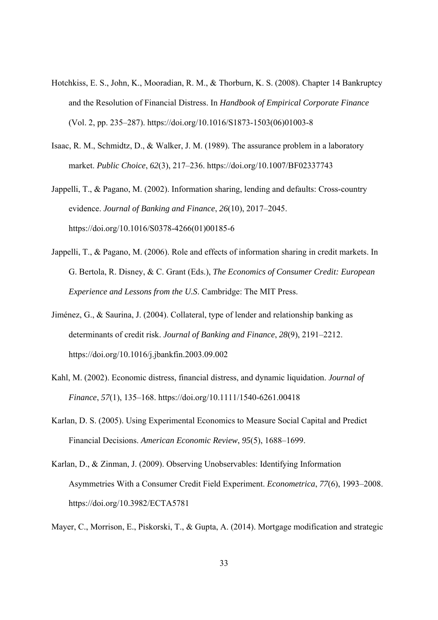- Hotchkiss, E. S., John, K., Mooradian, R. M., & Thorburn, K. S. (2008). Chapter 14 Bankruptcy and the Resolution of Financial Distress. In *Handbook of Empirical Corporate Finance* (Vol. 2, pp. 235–287). https://doi.org/10.1016/S1873-1503(06)01003-8
- Isaac, R. M., Schmidtz, D., & Walker, J. M. (1989). The assurance problem in a laboratory market. *Public Choice*, *62*(3), 217–236. https://doi.org/10.1007/BF02337743
- Jappelli, T., & Pagano, M. (2002). Information sharing, lending and defaults: Cross-country evidence. *Journal of Banking and Finance*, *26*(10), 2017–2045. https://doi.org/10.1016/S0378-4266(01)00185-6
- Jappelli, T., & Pagano, M. (2006). Role and effects of information sharing in credit markets. In G. Bertola, R. Disney, & C. Grant (Eds.), *The Economics of Consumer Credit: European Experience and Lessons from the U.S*. Cambridge: The MIT Press.
- Jiménez, G., & Saurina, J. (2004). Collateral, type of lender and relationship banking as determinants of credit risk. *Journal of Banking and Finance*, *28*(9), 2191–2212. https://doi.org/10.1016/j.jbankfin.2003.09.002
- Kahl, M. (2002). Economic distress, financial distress, and dynamic liquidation. *Journal of Finance*, *57*(1), 135–168. https://doi.org/10.1111/1540-6261.00418
- Karlan, D. S. (2005). Using Experimental Economics to Measure Social Capital and Predict Financial Decisions. *American Economic Review*, *95*(5), 1688–1699.
- Karlan, D., & Zinman, J. (2009). Observing Unobservables: Identifying Information Asymmetries With a Consumer Credit Field Experiment. *Econometrica*, *77*(6), 1993–2008. https://doi.org/10.3982/ECTA5781

Mayer, C., Morrison, E., Piskorski, T., & Gupta, A. (2014). Mortgage modification and strategic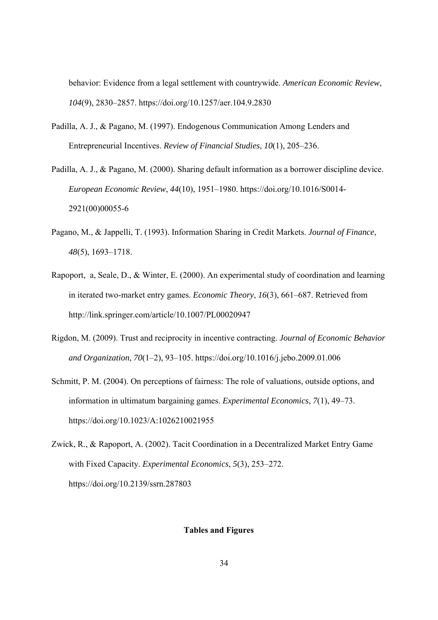behavior: Evidence from a legal settlement with countrywide. *American Economic Review*, *104*(9), 2830–2857. https://doi.org/10.1257/aer.104.9.2830

- Padilla, A. J., & Pagano, M. (1997). Endogenous Communication Among Lenders and Entrepreneurial Incentives. *Review of Financial Studies*, *10*(1), 205–236.
- Padilla, A. J., & Pagano, M. (2000). Sharing default information as a borrower discipline device. *European Economic Review*, *44*(10), 1951–1980. https://doi.org/10.1016/S0014- 2921(00)00055-6
- Pagano, M., & Jappelli, T. (1993). Information Sharing in Credit Markets. *Journal of Finance*, *48*(5), 1693–1718.
- Rapoport, a, Seale, D., & Winter, E. (2000). An experimental study of coordination and learning in iterated two-market entry games. *Economic Theory*, *16*(3), 661–687. Retrieved from http://link.springer.com/article/10.1007/PL00020947
- Rigdon, M. (2009). Trust and reciprocity in incentive contracting. *Journal of Economic Behavior and Organization*, *70*(1–2), 93–105. https://doi.org/10.1016/j.jebo.2009.01.006
- Schmitt, P. M. (2004). On perceptions of fairness: The role of valuations, outside options, and information in ultimatum bargaining games. *Experimental Economics*, *7*(1), 49–73. https://doi.org/10.1023/A:1026210021955
- Zwick, R., & Rapoport, A. (2002). Tacit Coordination in a Decentralized Market Entry Game with Fixed Capacity. *Experimental Economics*, *5*(3), 253–272. https://doi.org/10.2139/ssrn.287803

#### **Tables and Figures**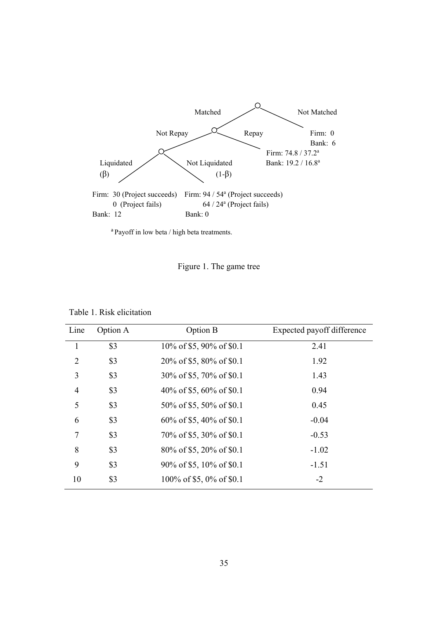

 $\,$  a Payoff in low beta / high beta treatments.

Figure 1. The game tree

|  |  | Table 1. Risk elicitation |  |
|--|--|---------------------------|--|
|--|--|---------------------------|--|

| Line           | Option A | Option B                    | Expected payoff difference |
|----------------|----------|-----------------------------|----------------------------|
| $\mathbf{1}$   | \$3      | 10% of \$5, 90% of \$0.1    | 2.41                       |
| $\overline{2}$ | \$3      | 20% of \$5, 80% of \$0.1    | 1.92                       |
| 3              | \$3      | 30% of \$5, 70% of \$0.1    | 1.43                       |
| $\overline{4}$ | \$3      | 40% of \$5, 60% of \$0.1    | 0.94                       |
| 5              | \$3      | 50% of \$5, 50% of \$0.1    | 0.45                       |
| 6              | \$3      | $60\%$ of \$5, 40% of \$0.1 | $-0.04$                    |
| 7              | \$3      | 70\% of \$5, 30\% of \$0.1  | $-0.53$                    |
| 8              | \$3      | 80% of \$5, 20% of \$0.1    | $-1.02$                    |
| 9              | \$3      | 90% of \$5, 10% of \$0.1    | $-1.51$                    |
| 10             | \$3      | 100% of \$5, 0% of \$0.1    | $-2$                       |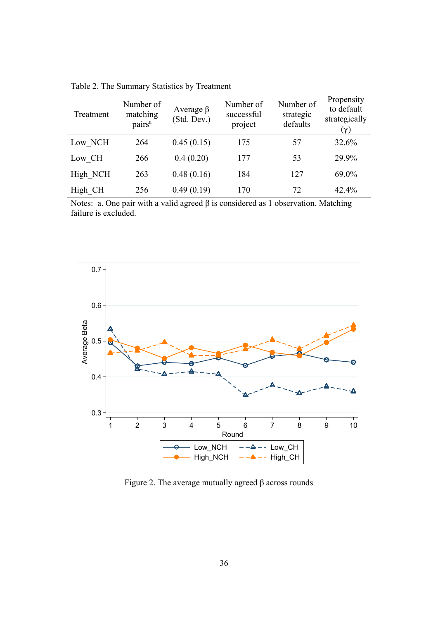| Treatment | Number of<br>matching<br>pairs <sup>a</sup> | Average $\beta$<br>(Std. Dev.) | Number of<br>successful<br>project | Number of<br>strategic<br>defaults | Propensity<br>to default<br>strategically |
|-----------|---------------------------------------------|--------------------------------|------------------------------------|------------------------------------|-------------------------------------------|
| Low NCH   | 264                                         | 0.45(0.15)                     | 175                                | 57                                 | 32.6%                                     |
| Low CH    | 266                                         | 0.4(0.20)                      | 177                                | 53                                 | 29.9%                                     |
| High NCH  | 263                                         | 0.48(0.16)                     | 184                                | 127                                | 69.0%                                     |
| High CH   | 256                                         | 0.49(0.19)                     | 170                                | 72                                 | 42.4%                                     |

Table 2. The Summary Statistics by Treatment

Notes: a. One pair with a valid agreed  $β$  is considered as 1 observation. Matching failure is excluded.



Figure 2. The average mutually agreed β across rounds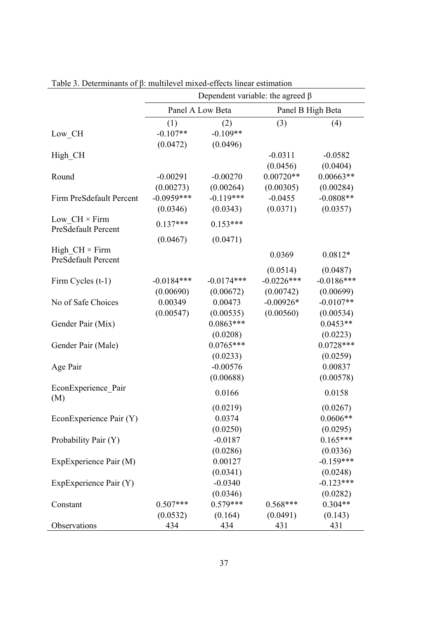|                                              | Dependent variable: the agreed $\beta$ |              |              |                   |
|----------------------------------------------|----------------------------------------|--------------|--------------|-------------------|
|                                              | Panel A Low Beta                       |              |              | Panel B High Beta |
|                                              | (1)                                    | (2)          | (3)          | (4)               |
| Low CH                                       | $-0.107**$                             | $-0.109**$   |              |                   |
|                                              | (0.0472)                               | (0.0496)     |              |                   |
| High CH                                      |                                        |              | $-0.0311$    | $-0.0582$         |
|                                              |                                        |              | (0.0456)     | (0.0404)          |
| Round                                        | $-0.00291$                             | $-0.00270$   | $0.00720**$  | $0.00663**$       |
|                                              | (0.00273)                              | (0.00264)    | (0.00305)    | (0.00284)         |
| Firm PreSdefault Percent                     | $-0.0959***$                           | $-0.119***$  | $-0.0455$    | $-0.0808**$       |
|                                              | (0.0346)                               | (0.0343)     | (0.0371)     | (0.0357)          |
| Low $CH \times Firm$<br>PreSdefault Percent  | $0.137***$                             | $0.153***$   |              |                   |
|                                              | (0.0467)                               | (0.0471)     |              |                   |
| High $CH \times Firm$<br>PreSdefault Percent |                                        |              | 0.0369       | $0.0812*$         |
|                                              |                                        |              | (0.0514)     | (0.0487)          |
| Firm Cycles (t-1)                            | $-0.0184***$                           | $-0.0174***$ | $-0.0226***$ | $-0.0186***$      |
|                                              | (0.00690)                              | (0.00672)    | (0.00742)    | (0.00699)         |
| No of Safe Choices                           | 0.00349                                | 0.00473      | $-0.00926*$  | $-0.0107**$       |
|                                              | (0.00547)                              | (0.00535)    | (0.00560)    | (0.00534)         |
| Gender Pair (Mix)                            |                                        | $0.0863***$  |              | $0.0453**$        |
|                                              |                                        | (0.0208)     |              | (0.0223)          |
| Gender Pair (Male)                           |                                        | $0.0765***$  |              | $0.0728***$       |
|                                              |                                        | (0.0233)     |              | (0.0259)          |
| Age Pair                                     |                                        | $-0.00576$   |              | 0.00837           |
|                                              |                                        | (0.00688)    |              | (0.00578)         |
| EconExperience Pair<br>(M)                   |                                        | 0.0166       |              | 0.0158            |
|                                              |                                        | (0.0219)     |              | (0.0267)          |
| EconExperience Pair (Y)                      |                                        | 0.0374       |              | $0.0606**$        |
|                                              |                                        | (0.0250)     |              | (0.0295)          |
| Probability Pair (Y)                         |                                        | $-0.0187$    |              | $0.165***$        |
|                                              |                                        | (0.0286)     |              | (0.0336)          |
| ExpExperience Pair (M)                       |                                        | 0.00127      |              | $-0.159***$       |
|                                              |                                        | (0.0341)     |              | (0.0248)          |
| ExpExperience Pair (Y)                       |                                        | $-0.0340$    |              | $-0.123***$       |
|                                              |                                        | (0.0346)     |              | (0.0282)          |
| Constant                                     | $0.507***$                             | $0.579***$   | $0.568***$   | $0.304**$         |
|                                              | (0.0532)                               | (0.164)      | (0.0491)     | (0.143)           |
| Observations                                 | 434                                    | 434          | 431          | 431               |

Table 3. Determinants of β: multilevel mixed-effects linear estimation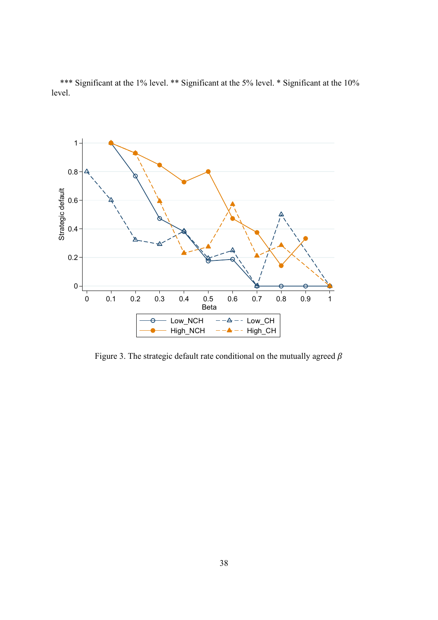\*\*\* Significant at the 1% level. \*\* Significant at the 5% level. \* Significant at the 10% level.



Figure 3. The strategic default rate conditional on the mutually agreed  $\beta$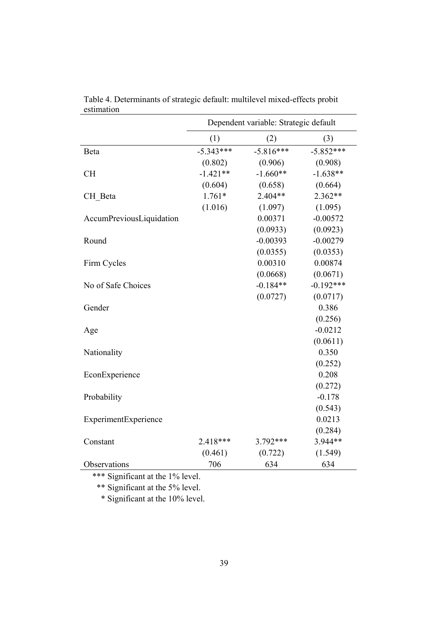|                          | Dependent variable: Strategic default |             |             |  |
|--------------------------|---------------------------------------|-------------|-------------|--|
|                          | (1)                                   | (2)         | (3)         |  |
| Beta                     | $-5.343***$                           | $-5.816***$ | $-5.852***$ |  |
|                          | (0.802)                               | (0.906)     | (0.908)     |  |
| <b>CH</b>                | $-1.421**$                            | $-1.660**$  | $-1.638**$  |  |
|                          | (0.604)                               | (0.658)     | (0.664)     |  |
| CH Beta                  | $1.761*$                              | $2.404**$   | $2.362**$   |  |
|                          | (1.016)                               | (1.097)     | (1.095)     |  |
| AccumPreviousLiquidation |                                       | 0.00371     | $-0.00572$  |  |
|                          |                                       | (0.0933)    | (0.0923)    |  |
| Round                    |                                       | $-0.00393$  | $-0.00279$  |  |
|                          |                                       | (0.0355)    | (0.0353)    |  |
| Firm Cycles              |                                       | 0.00310     | 0.00874     |  |
|                          |                                       | (0.0668)    | (0.0671)    |  |
| No of Safe Choices       |                                       | $-0.184**$  | $-0.192***$ |  |
|                          |                                       | (0.0727)    | (0.0717)    |  |
| Gender                   |                                       |             | 0.386       |  |
|                          |                                       |             | (0.256)     |  |
| Age                      |                                       |             | $-0.0212$   |  |
|                          |                                       |             | (0.0611)    |  |
| Nationality              |                                       |             | 0.350       |  |
|                          |                                       |             | (0.252)     |  |
| EconExperience           |                                       |             | 0.208       |  |
|                          |                                       |             | (0.272)     |  |
| Probability              |                                       |             | $-0.178$    |  |
|                          |                                       |             | (0.543)     |  |
| ExperimentExperience     |                                       |             | 0.0213      |  |
|                          |                                       |             | (0.284)     |  |
| Constant                 | 2.418***                              | 3.792***    | 3.944**     |  |
|                          | (0.461)                               | (0.722)     | (1.549)     |  |
| Observations             | 706                                   | 634         | 634         |  |

Table 4. Determinants of strategic default: multilevel mixed-effects probit estimation

\*\*\* Significant at the 1% level.

\*\* Significant at the 5% level.

\* Significant at the 10% level.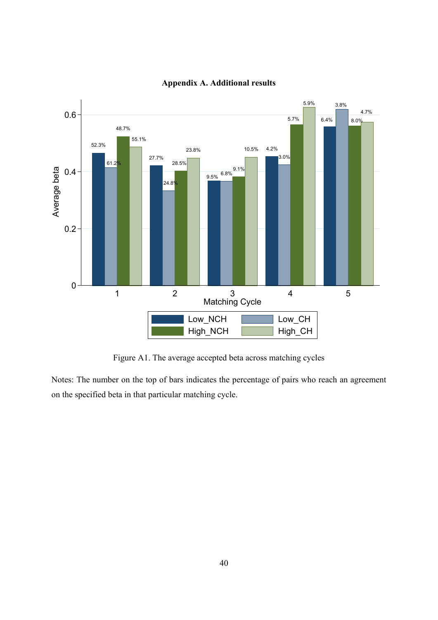

## **Appendix A. Additional results**

Figure A1. The average accepted beta across matching cycles

Notes: The number on the top of bars indicates the percentage of pairs who reach an agreement on the specified beta in that particular matching cycle.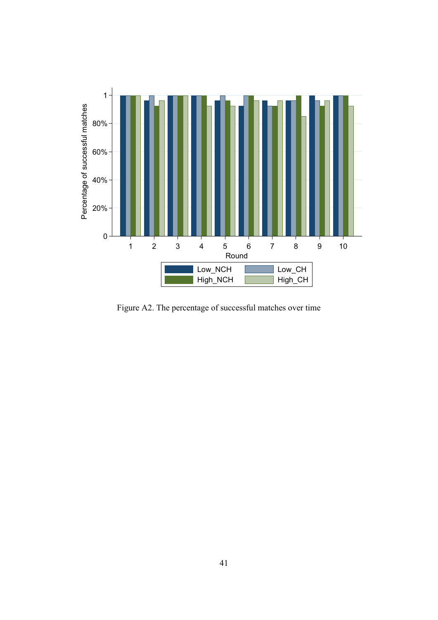

Figure A2. The percentage of successful matches over time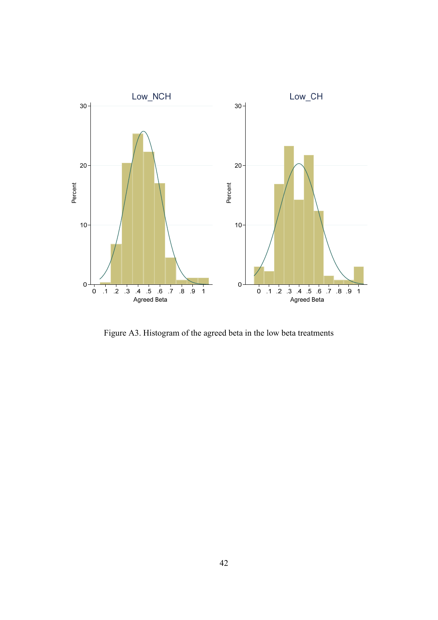

Figure A3. Histogram of the agreed beta in the low beta treatments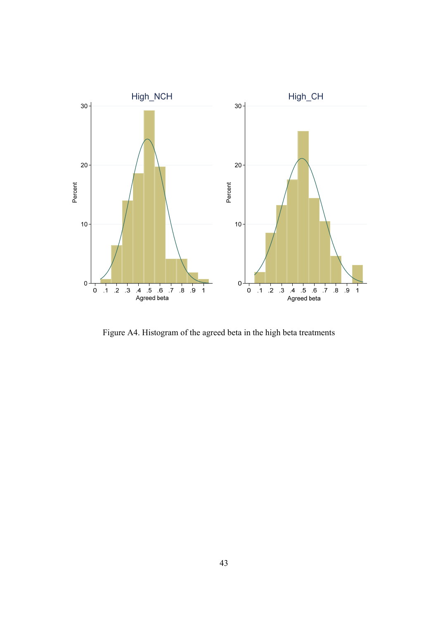

Figure A4. Histogram of the agreed beta in the high beta treatments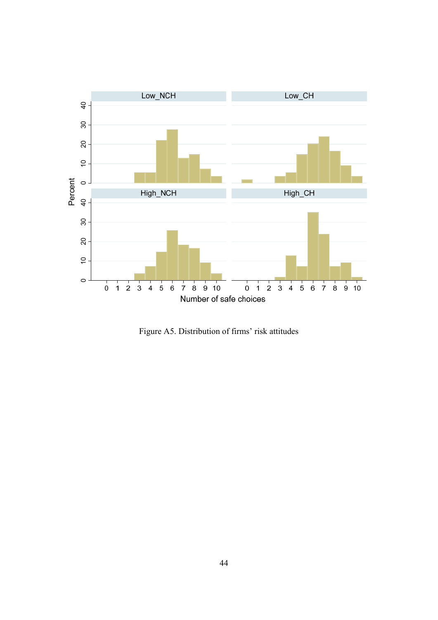

Figure A5. Distribution of firms' risk attitudes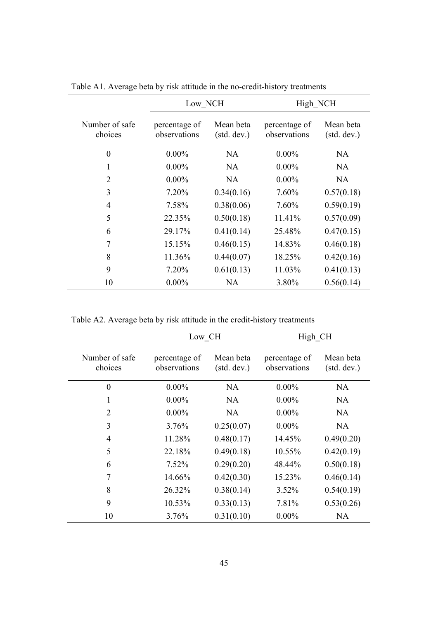|                           | Low NCH                       |                           | High NCH                      |                           |
|---------------------------|-------------------------------|---------------------------|-------------------------------|---------------------------|
| Number of safe<br>choices | percentage of<br>observations | Mean beta<br>(stat. dev.) | percentage of<br>observations | Mean beta<br>(stat. dev.) |
| $\boldsymbol{0}$          | $0.00\%$                      | <b>NA</b>                 | $0.00\%$                      | NA.                       |
| 1                         | $0.00\%$                      | <b>NA</b>                 | $0.00\%$                      | NA.                       |
| $\overline{2}$            | $0.00\%$                      | NA.                       | $0.00\%$                      | <b>NA</b>                 |
| 3                         | 7.20%                         | 0.34(0.16)                | 7.60%                         | 0.57(0.18)                |
| $\overline{4}$            | 7.58%                         | 0.38(0.06)                | 7.60%                         | 0.59(0.19)                |
| 5                         | 22.35%                        | 0.50(0.18)                | 11.41%                        | 0.57(0.09)                |
| 6                         | 29.17%                        | 0.41(0.14)                | 25.48%                        | 0.47(0.15)                |
| 7                         | 15.15%                        | 0.46(0.15)                | 14.83%                        | 0.46(0.18)                |
| 8                         | 11.36%                        | 0.44(0.07)                | 18.25%                        | 0.42(0.16)                |
| 9                         | 7.20%                         | 0.61(0.13)                | 11.03%                        | 0.41(0.13)                |
| 10                        | $0.00\%$                      | NA.                       | 3.80%                         | 0.56(0.14)                |

Table A1. Average beta by risk attitude in the no-credit-history treatments

Table A2. Average beta by risk attitude in the credit-history treatments

|                           | Low CH                        |                           | High CH                       |                           |
|---------------------------|-------------------------------|---------------------------|-------------------------------|---------------------------|
| Number of safe<br>choices | percentage of<br>observations | Mean beta<br>(stat. dev.) | percentage of<br>observations | Mean beta<br>(stat. dev.) |
| $\overline{0}$            | $0.00\%$                      | <b>NA</b>                 | $0.00\%$                      | NA                        |
| $\mathbf{1}$              | $0.00\%$                      | NA.                       | $0.00\%$                      | NA.                       |
| $\overline{2}$            | $0.00\%$                      | NA.                       | $0.00\%$                      | <b>NA</b>                 |
| 3                         | 3.76%                         | 0.25(0.07)                | $0.00\%$                      | NA.                       |
| $\overline{4}$            | 11.28%                        | 0.48(0.17)                | 14.45%                        | 0.49(0.20)                |
| 5                         | 22.18%                        | 0.49(0.18)                | 10.55%                        | 0.42(0.19)                |
| 6                         | $7.52\%$                      | 0.29(0.20)                | 48.44%                        | 0.50(0.18)                |
| 7                         | 14.66%                        | 0.42(0.30)                | 15.23%                        | 0.46(0.14)                |
| 8                         | 26.32%                        | 0.38(0.14)                | 3.52%                         | 0.54(0.19)                |
| 9                         | 10.53%                        | 0.33(0.13)                | 7.81%                         | 0.53(0.26)                |
| 10                        | 3.76%                         | 0.31(0.10)                | $0.00\%$                      | <b>NA</b>                 |